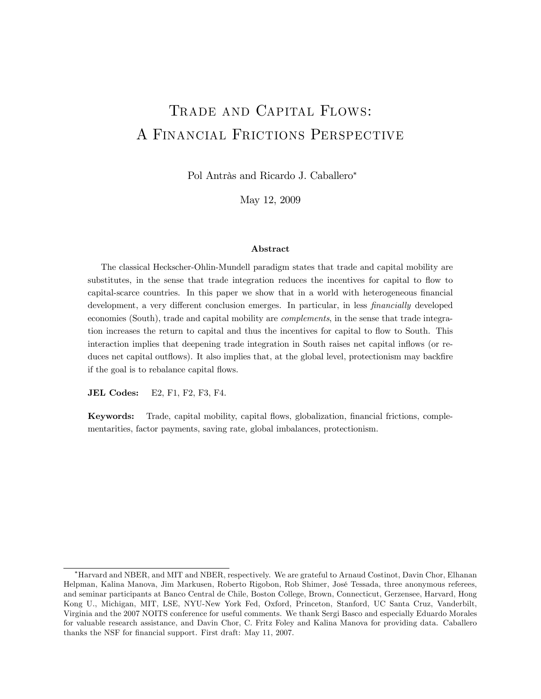# Trade and Capital Flows: A Financial Frictions Perspective

Pol Antràs and Ricardo J. Caballero<sup>∗</sup>

May 12, 2009

#### Abstract

The classical Heckscher-Ohlin-Mundell paradigm states that trade and capital mobility are substitutes, in the sense that trade integration reduces the incentives for capital to flow to capital-scarce countries. In this paper we show that in a world with heterogeneous financial development, a very different conclusion emerges. In particular, in less *financially* developed economies (South), trade and capital mobility are complements, in the sense that trade integration increases the return to capital and thus the incentives for capital to flow to South. This interaction implies that deepening trade integration in South raises net capital inflows (or reduces net capital outflows). It also implies that, at the global level, protectionism may backfire if the goal is to rebalance capital flows.

JEL Codes: E2, F1, F2, F3, F4.

Keywords: Trade, capital mobility, capital flows, globalization, financial frictions, complementarities, factor payments, saving rate, global imbalances, protectionism.

<sup>∗</sup>Harvard and NBER, and MIT and NBER, respectively. We are grateful to Arnaud Costinot, Davin Chor, Elhanan Helpman, Kalina Manova, Jim Markusen, Roberto Rigobon, Rob Shimer, José Tessada, three anonymous referees, and seminar participants at Banco Central de Chile, Boston College, Brown, Connecticut, Gerzensee, Harvard, Hong Kong U., Michigan, MIT, LSE, NYU-New York Fed, Oxford, Princeton, Stanford, UC Santa Cruz, Vanderbilt, Virginia and the 2007 NOITS conference for useful comments. We thank Sergi Basco and especially Eduardo Morales for valuable research assistance, and Davin Chor, C. Fritz Foley and Kalina Manova for providing data. Caballero thanks the NSF for financial support. First draft: May 11, 2007.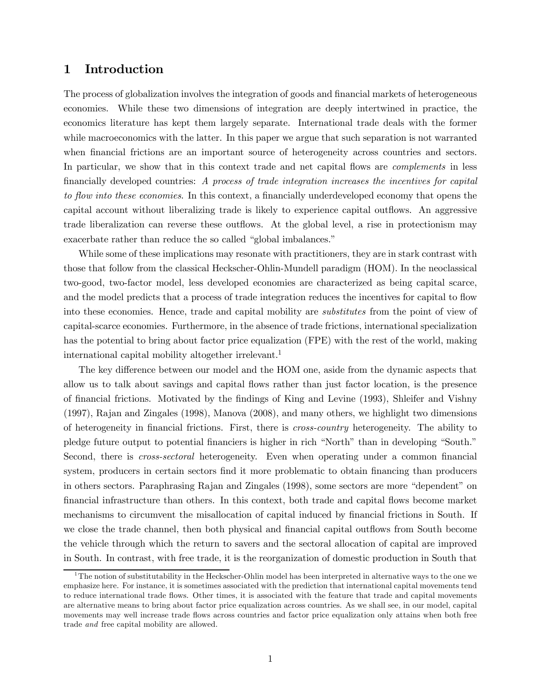## 1 Introduction

The process of globalization involves the integration of goods and financial markets of heterogeneous economies. While these two dimensions of integration are deeply intertwined in practice, the economics literature has kept them largely separate. International trade deals with the former while macroeconomics with the latter. In this paper we argue that such separation is not warranted when financial frictions are an important source of heterogeneity across countries and sectors. In particular, we show that in this context trade and net capital flows are *complements* in less financially developed countries: A process of trade integration increases the incentives for capital to flow into these economies. In this context, a financially underdeveloped economy that opens the capital account without liberalizing trade is likely to experience capital outflows. An aggressive trade liberalization can reverse these outflows. At the global level, a rise in protectionism may exacerbate rather than reduce the so called "global imbalances."

While some of these implications may resonate with practitioners, they are in stark contrast with those that follow from the classical Heckscher-Ohlin-Mundell paradigm (HOM). In the neoclassical two-good, two-factor model, less developed economies are characterized as being capital scarce, and the model predicts that a process of trade integration reduces the incentives for capital to flow into these economies. Hence, trade and capital mobility are substitutes from the point of view of capital-scarce economies. Furthermore, in the absence of trade frictions, international specialization has the potential to bring about factor price equalization (FPE) with the rest of the world, making international capital mobility altogether irrelevant.<sup>1</sup>

The key difference between our model and the HOM one, aside from the dynamic aspects that allow us to talk about savings and capital flows rather than just factor location, is the presence of financial frictions. Motivated by the findings of King and Levine (1993), Shleifer and Vishny (1997), Rajan and Zingales (1998), Manova (2008), and many others, we highlight two dimensions of heterogeneity in financial frictions. First, there is cross-country heterogeneity. The ability to pledge future output to potential financiers is higher in rich "North" than in developing "South." Second, there is cross-sectoral heterogeneity. Even when operating under a common financial system, producers in certain sectors find it more problematic to obtain financing than producers in others sectors. Paraphrasing Rajan and Zingales (1998), some sectors are more "dependent" on financial infrastructure than others. In this context, both trade and capital flows become market mechanisms to circumvent the misallocation of capital induced by financial frictions in South. If we close the trade channel, then both physical and financial capital outflows from South become the vehicle through which the return to savers and the sectoral allocation of capital are improved in South. In contrast, with free trade, it is the reorganization of domestic production in South that

<sup>&</sup>lt;sup>1</sup>The notion of substitutability in the Heckscher-Ohlin model has been interpreted in alternative ways to the one we emphasize here. For instance, it is sometimes associated with the prediction that international capital movements tend to reduce international trade flows. Other times, it is associated with the feature that trade and capital movements are alternative means to bring about factor price equalization across countries. As we shall see, in our model, capital movements may well increase trade flows across countries and factor price equalization only attains when both free trade and free capital mobility are allowed.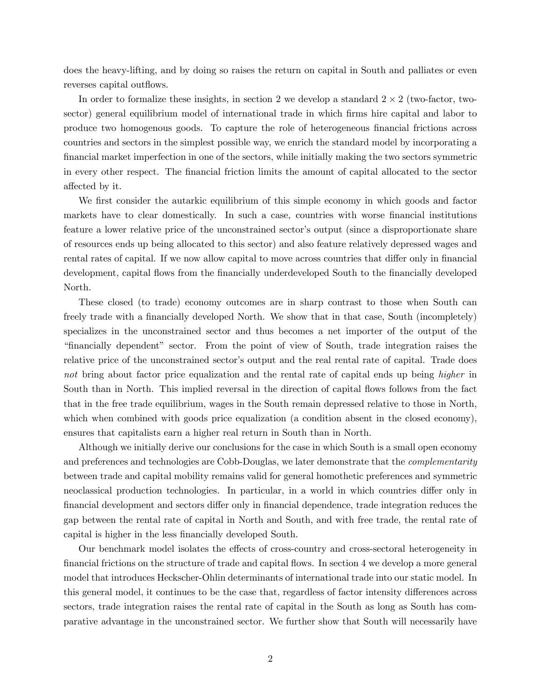does the heavy-lifting, and by doing so raises the return on capital in South and palliates or even reverses capital outflows.

In order to formalize these insights, in section 2 we develop a standard  $2 \times 2$  (two-factor, twosector) general equilibrium model of international trade in which firms hire capital and labor to produce two homogenous goods. To capture the role of heterogeneous financial frictions across countries and sectors in the simplest possible way, we enrich the standard model by incorporating a financial market imperfection in one of the sectors, while initially making the two sectors symmetric in every other respect. The financial friction limits the amount of capital allocated to the sector affected by it.

We first consider the autarkic equilibrium of this simple economy in which goods and factor markets have to clear domestically. In such a case, countries with worse financial institutions feature a lower relative price of the unconstrained sector's output (since a disproportionate share of resources ends up being allocated to this sector) and also feature relatively depressed wages and rental rates of capital. If we now allow capital to move across countries that differ only in financial development, capital flows from the financially underdeveloped South to the financially developed North.

These closed (to trade) economy outcomes are in sharp contrast to those when South can freely trade with a financially developed North. We show that in that case, South (incompletely) specializes in the unconstrained sector and thus becomes a net importer of the output of the "financially dependent" sector. From the point of view of South, trade integration raises the relative price of the unconstrained sector's output and the real rental rate of capital. Trade does not bring about factor price equalization and the rental rate of capital ends up being higher in South than in North. This implied reversal in the direction of capital flows follows from the fact that in the free trade equilibrium, wages in the South remain depressed relative to those in North, which when combined with goods price equalization (a condition absent in the closed economy), ensures that capitalists earn a higher real return in South than in North.

Although we initially derive our conclusions for the case in which South is a small open economy and preferences and technologies are Cobb-Douglas, we later demonstrate that the *complementarity* between trade and capital mobility remains valid for general homothetic preferences and symmetric neoclassical production technologies. In particular, in a world in which countries differ only in financial development and sectors differ only in financial dependence, trade integration reduces the gap between the rental rate of capital in North and South, and with free trade, the rental rate of capital is higher in the less financially developed South.

Our benchmark model isolates the effects of cross-country and cross-sectoral heterogeneity in financial frictions on the structure of trade and capital flows. In section 4 we develop a more general model that introduces Heckscher-Ohlin determinants of international trade into our static model. In this general model, it continues to be the case that, regardless of factor intensity differences across sectors, trade integration raises the rental rate of capital in the South as long as South has comparative advantage in the unconstrained sector. We further show that South will necessarily have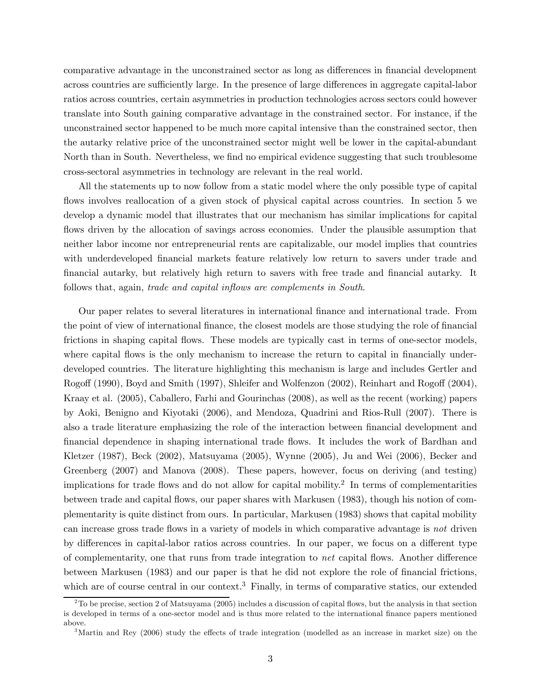comparative advantage in the unconstrained sector as long as differences in financial development across countries are sufficiently large. In the presence of large differences in aggregate capital-labor ratios across countries, certain asymmetries in production technologies across sectors could however translate into South gaining comparative advantage in the constrained sector. For instance, if the unconstrained sector happened to be much more capital intensive than the constrained sector, then the autarky relative price of the unconstrained sector might well be lower in the capital-abundant North than in South. Nevertheless, we find no empirical evidence suggesting that such troublesome cross-sectoral asymmetries in technology are relevant in the real world.

All the statements up to now follow from a static model where the only possible type of capital flows involves reallocation of a given stock of physical capital across countries. In section 5 we develop a dynamic model that illustrates that our mechanism has similar implications for capital flows driven by the allocation of savings across economies. Under the plausible assumption that neither labor income nor entrepreneurial rents are capitalizable, our model implies that countries with underdeveloped financial markets feature relatively low return to savers under trade and financial autarky, but relatively high return to savers with free trade and financial autarky. It follows that, again, trade and capital inflows are complements in South.

Our paper relates to several literatures in international finance and international trade. From the point of view of international finance, the closest models are those studying the role of financial frictions in shaping capital flows. These models are typically cast in terms of one-sector models, where capital flows is the only mechanism to increase the return to capital in financially underdeveloped countries. The literature highlighting this mechanism is large and includes Gertler and Rogoff (1990), Boyd and Smith (1997), Shleifer and Wolfenzon (2002), Reinhart and Rogoff (2004), Kraay et al. (2005), Caballero, Farhi and Gourinchas (2008), as well as the recent (working) papers by Aoki, Benigno and Kiyotaki (2006), and Mendoza, Quadrini and Rios-Rull (2007). There is also a trade literature emphasizing the role of the interaction between financial development and financial dependence in shaping international trade flows. It includes the work of Bardhan and Kletzer (1987), Beck (2002), Matsuyama (2005), Wynne (2005), Ju and Wei (2006), Becker and Greenberg (2007) and Manova (2008). These papers, however, focus on deriving (and testing) implications for trade flows and do not allow for capital mobility.<sup>2</sup> In terms of complementarities between trade and capital flows, our paper shares with Markusen (1983), though his notion of complementarity is quite distinct from ours. In particular, Markusen (1983) shows that capital mobility can increase gross trade flows in a variety of models in which comparative advantage is not driven by differences in capital-labor ratios across countries. In our paper, we focus on a different type of complementarity, one that runs from trade integration to net capital flows. Another difference between Markusen (1983) and our paper is that he did not explore the role of financial frictions, which are of course central in our context.<sup>3</sup> Finally, in terms of comparative statics, our extended

<sup>&</sup>lt;sup>2</sup>To be precise, section 2 of Matsuyama (2005) includes a discussion of capital flows, but the analysis in that section is developed in terms of a one-sector model and is thus more related to the international finance papers mentioned above.

<sup>3</sup>Martin and Rey (2006) study the effects of trade integration (modelled as an increase in market size) on the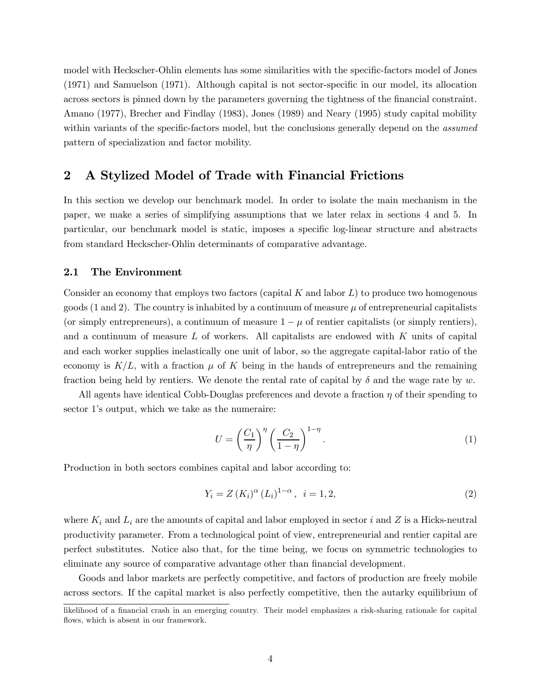model with Heckscher-Ohlin elements has some similarities with the specific-factors model of Jones (1971) and Samuelson (1971). Although capital is not sector-specific in our model, its allocation across sectors is pinned down by the parameters governing the tightness of the financial constraint. Amano (1977), Brecher and Findlay (1983), Jones (1989) and Neary (1995) study capital mobility within variants of the specific-factors model, but the conclusions generally depend on the *assumed* pattern of specialization and factor mobility.

## 2 A Stylized Model of Trade with Financial Frictions

In this section we develop our benchmark model. In order to isolate the main mechanism in the paper, we make a series of simplifying assumptions that we later relax in sections 4 and 5. In particular, our benchmark model is static, imposes a specific log-linear structure and abstracts from standard Heckscher-Ohlin determinants of comparative advantage.

#### 2.1 The Environment

Consider an economy that employs two factors (capital  $K$  and labor  $L$ ) to produce two homogenous goods  $(1 \text{ and } 2)$ . The country is inhabited by a continuum of measure  $\mu$  of entrepreneurial capitalists (or simply entrepreneurs), a continuum of measure  $1 - \mu$  of rentier capitalists (or simply rentiers), and a continuum of measure  $L$  of workers. All capitalists are endowed with  $K$  units of capital and each worker supplies inelastically one unit of labor, so the aggregate capital-labor ratio of the economy is  $K/L$ , with a fraction  $\mu$  of K being in the hands of entrepreneurs and the remaining fraction being held by rentiers. We denote the rental rate of capital by  $\delta$  and the wage rate by w.

All agents have identical Cobb-Douglas preferences and devote a fraction  $\eta$  of their spending to sector 1's output, which we take as the numeraire:

$$
U = \left(\frac{C_1}{\eta}\right)^{\eta} \left(\frac{C_2}{1-\eta}\right)^{1-\eta}.
$$
\n(1)

Production in both sectors combines capital and labor according to:

$$
Y_i = Z(K_i)^{\alpha} (L_i)^{1-\alpha}, \ \ i = 1, 2, \tag{2}
$$

where  $K_i$  and  $L_i$  are the amounts of capital and labor employed in sector i and Z is a Hicks-neutral productivity parameter. From a technological point of view, entrepreneurial and rentier capital are perfect substitutes. Notice also that, for the time being, we focus on symmetric technologies to eliminate any source of comparative advantage other than financial development.

Goods and labor markets are perfectly competitive, and factors of production are freely mobile across sectors. If the capital market is also perfectly competitive, then the autarky equilibrium of

likelihood of a financial crash in an emerging country. Their model emphasizes a risk-sharing rationale for capital flows, which is absent in our framework.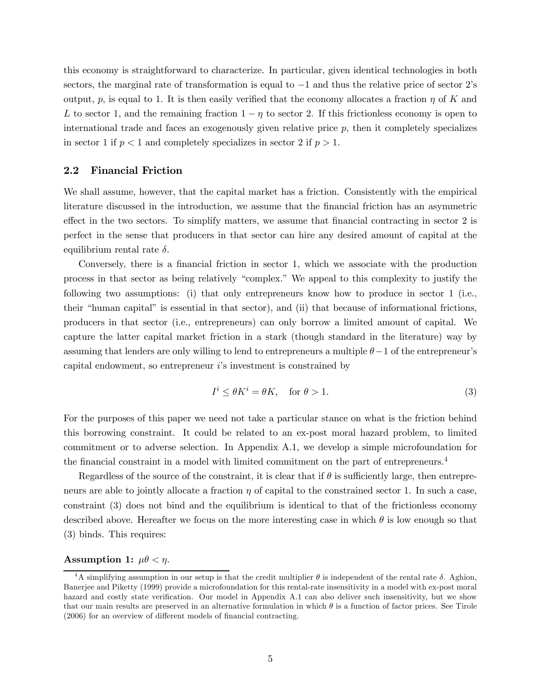this economy is straightforward to characterize. In particular, given identical technologies in both sectors, the marginal rate of transformation is equal to −1 and thus the relative price of sector 2's output, p, is equal to 1. It is then easily verified that the economy allocates a fraction  $\eta$  of K and L to sector 1, and the remaining fraction  $1 - \eta$  to sector 2. If this frictionless economy is open to international trade and faces an exogenously given relative price  $p$ , then it completely specializes in sector 1 if  $p < 1$  and completely specializes in sector 2 if  $p > 1$ .

### 2.2 Financial Friction

We shall assume, however, that the capital market has a friction. Consistently with the empirical literature discussed in the introduction, we assume that the financial friction has an asymmetric effect in the two sectors. To simplify matters, we assume that financial contracting in sector 2 is perfect in the sense that producers in that sector can hire any desired amount of capital at the equilibrium rental rate  $\delta$ .

Conversely, there is a financial friction in sector 1, which we associate with the production process in that sector as being relatively "complex." We appeal to this complexity to justify the following two assumptions: (i) that only entrepreneurs know how to produce in sector 1 (i.e., their "human capital" is essential in that sector), and (ii) that because of informational frictions, producers in that sector (i.e., entrepreneurs) can only borrow a limited amount of capital. We capture the latter capital market friction in a stark (though standard in the literature) way by assuming that lenders are only willing to lend to entrepreneurs a multiple  $\theta-1$  of the entrepreneur's capital endowment, so entrepreneur i's investment is constrained by

$$
I^i \le \theta K^i = \theta K, \quad \text{for } \theta > 1.
$$
 (3)

For the purposes of this paper we need not take a particular stance on what is the friction behind this borrowing constraint. It could be related to an ex-post moral hazard problem, to limited commitment or to adverse selection. In Appendix A.1, we develop a simple microfoundation for the financial constraint in a model with limited commitment on the part of entrepreneurs.4

Regardless of the source of the constraint, it is clear that if  $\theta$  is sufficiently large, then entrepreneurs are able to jointly allocate a fraction  $\eta$  of capital to the constrained sector 1. In such a case, constraint (3) does not bind and the equilibrium is identical to that of the frictionless economy described above. Hereafter we focus on the more interesting case in which  $\theta$  is low enough so that (3) binds. This requires:

## Assumption 1:  $\mu\theta < \eta$ .

<sup>&</sup>lt;sup>4</sup>A simplifying assumption in our setup is that the credit multiplier  $\theta$  is independent of the rental rate  $\delta$ . Aghion, Banerjee and Piketty (1999) provide a microfoundation for this rental-rate insensitivity in a model with ex-post moral hazard and costly state verification. Our model in Appendix A.1 can also deliver such insensitivity, but we show that our main results are preserved in an alternative formulation in which  $\theta$  is a function of factor prices. See Tirole (2006) for an overview of different models of financial contracting.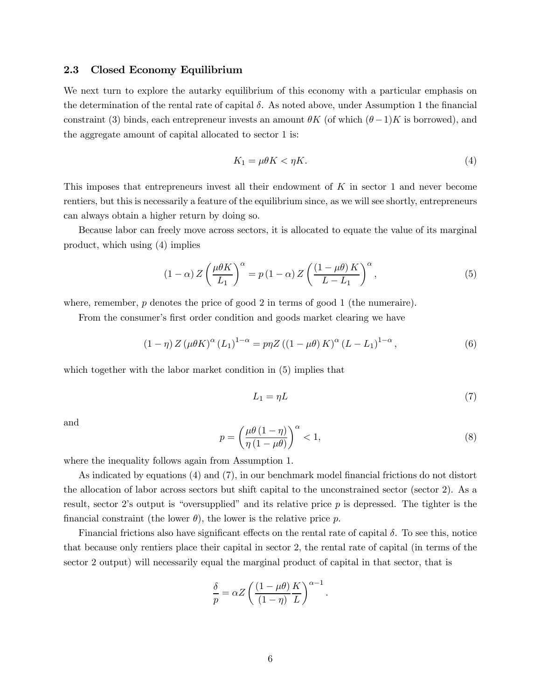#### 2.3 Closed Economy Equilibrium

We next turn to explore the autarky equilibrium of this economy with a particular emphasis on the determination of the rental rate of capital  $\delta$ . As noted above, under Assumption 1 the financial constraint (3) binds, each entrepreneur invests an amount  $\theta K$  (of which  $(\theta-1)K$  is borrowed), and the aggregate amount of capital allocated to sector 1 is:

$$
K_1 = \mu \theta K < \eta K. \tag{4}
$$

This imposes that entrepreneurs invest all their endowment of K in sector 1 and never become rentiers, but this is necessarily a feature of the equilibrium since, as we will see shortly, entrepreneurs can always obtain a higher return by doing so.

Because labor can freely move across sectors, it is allocated to equate the value of its marginal product, which using (4) implies

$$
(1 - \alpha) Z \left(\frac{\mu \theta K}{L_1}\right)^{\alpha} = p(1 - \alpha) Z \left(\frac{(1 - \mu \theta) K}{L - L_1}\right)^{\alpha},\tag{5}
$$

where, remember,  $p$  denotes the price of good 2 in terms of good 1 (the numeraire).

From the consumer's first order condition and goods market clearing we have

$$
(1 - \eta) Z \left(\mu \theta K\right)^{\alpha} (L_1)^{1 - \alpha} = p \eta Z \left((1 - \mu \theta) K\right)^{\alpha} (L - L_1)^{1 - \alpha},\tag{6}
$$

which together with the labor market condition in  $(5)$  implies that

$$
L_1 = \eta L \tag{7}
$$

and

$$
p = \left(\frac{\mu\theta\left(1-\eta\right)}{\eta\left(1-\mu\theta\right)}\right)^{\alpha} < 1,\tag{8}
$$

where the inequality follows again from Assumption 1.

As indicated by equations (4) and (7), in our benchmark model financial frictions do not distort the allocation of labor across sectors but shift capital to the unconstrained sector (sector 2). As a result, sector 2's output is "oversupplied" and its relative price p is depressed. The tighter is the financial constraint (the lower  $\theta$ ), the lower is the relative price p.

Financial frictions also have significant effects on the rental rate of capital  $\delta$ . To see this, notice that because only rentiers place their capital in sector 2, the rental rate of capital (in terms of the sector 2 output) will necessarily equal the marginal product of capital in that sector, that is

$$
\frac{\delta}{p} = \alpha Z \left( \frac{(1 - \mu \theta)}{(1 - \eta)} \frac{K}{L} \right)^{\alpha - 1}.
$$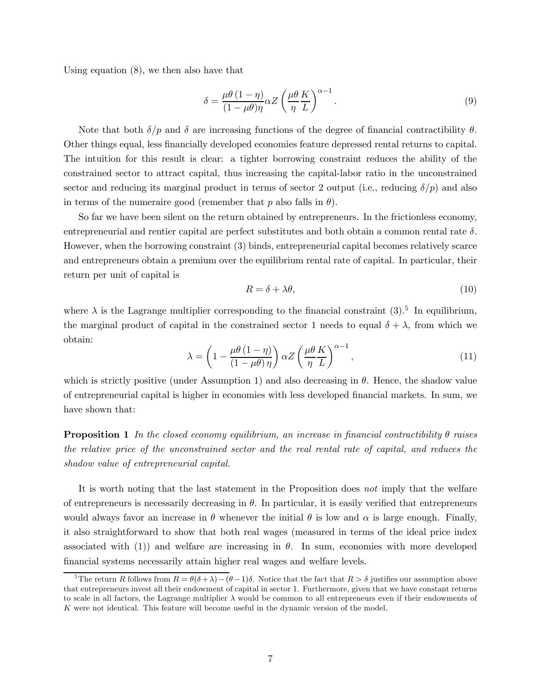Using equation (8), we then also have that

$$
\delta = \frac{\mu \theta (1 - \eta)}{(1 - \mu \theta)\eta} \alpha Z \left(\frac{\mu \theta K}{\eta L}\right)^{\alpha - 1}.
$$
\n(9)

Note that both  $\delta/p$  and  $\delta$  are increasing functions of the degree of financial contractibility  $\theta$ . Other things equal, less financially developed economies feature depressed rental returns to capital. The intuition for this result is clear: a tighter borrowing constraint reduces the ability of the constrained sector to attract capital, thus increasing the capital-labor ratio in the unconstrained sector and reducing its marginal product in terms of sector 2 output (i.e., reducing  $\delta/p$ ) and also in terms of the numeraire good (remember that p also falls in  $\theta$ ).

So far we have been silent on the return obtained by entrepreneurs. In the frictionless economy, entrepreneurial and rentier capital are perfect substitutes and both obtain a common rental rate  $\delta$ . However, when the borrowing constraint (3) binds, entrepreneurial capital becomes relatively scarce and entrepreneurs obtain a premium over the equilibrium rental rate of capital. In particular, their return per unit of capital is

$$
R = \delta + \lambda \theta,\tag{10}
$$

where  $\lambda$  is the Lagrange multiplier corresponding to the financial constraint (3).<sup>5</sup> In equilibrium, the marginal product of capital in the constrained sector 1 needs to equal  $\delta + \lambda$ , from which we obtain:

$$
\lambda = \left(1 - \frac{\mu\theta \left(1 - \eta\right)}{\left(1 - \mu\theta\right)\eta}\right) \alpha Z \left(\frac{\mu\theta}{\eta} \frac{K}{L}\right)^{\alpha - 1},\tag{11}
$$

which is strictly positive (under Assumption 1) and also decreasing in  $\theta$ . Hence, the shadow value of entrepreneurial capital is higher in economies with less developed financial markets. In sum, we have shown that:

**Proposition 1** In the closed economy equilibrium, an increase in financial contractibility  $\theta$  raises the relative price of the unconstrained sector and the real rental rate of capital, and reduces the shadow value of entrepreneurial capital.

It is worth noting that the last statement in the Proposition does not imply that the welfare of entrepreneurs is necessarily decreasing in  $\theta$ . In particular, it is easily verified that entrepreneurs would always favor an increase in  $\theta$  whenever the initial  $\theta$  is low and  $\alpha$  is large enough. Finally, it also straightforward to show that both real wages (measured in terms of the ideal price index associated with (1)) and welfare are increasing in  $\theta$ . In sum, economies with more developed financial systems necessarily attain higher real wages and welfare levels.

<sup>&</sup>lt;sup>5</sup>The return R follows from  $R = \theta(\delta + \lambda) - (\theta - 1)\delta$ . Notice that the fact that  $R > \delta$  justifies our assumption above that entrepreneurs invest all their endowment of capital in sector 1. Furthermore, given that we have constant returns to scale in all factors, the Lagrange multiplier  $\lambda$  would be common to all entrepreneurs even if their endowments of K were not identical. This feature will become useful in the dynamic version of the model.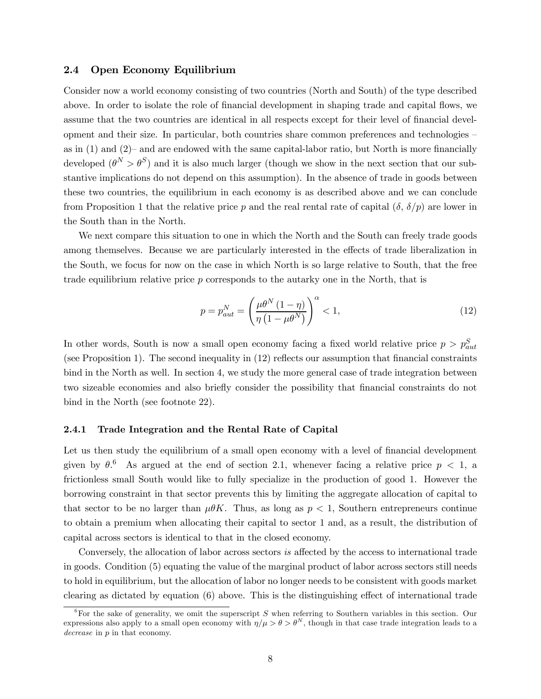#### 2.4 Open Economy Equilibrium

Consider now a world economy consisting of two countries (North and South) of the type described above. In order to isolate the role of financial development in shaping trade and capital flows, we assume that the two countries are identical in all respects except for their level of financial development and their size. In particular, both countries share common preferences and technologies as in  $(1)$  and  $(2)$  and are endowed with the same capital-labor ratio, but North is more financially developed  $(\theta^N > \theta^S)$  and it is also much larger (though we show in the next section that our substantive implications do not depend on this assumption). In the absence of trade in goods between these two countries, the equilibrium in each economy is as described above and we can conclude from Proposition 1 that the relative price p and the real rental rate of capital  $(\delta, \delta/p)$  are lower in the South than in the North.

We next compare this situation to one in which the North and the South can freely trade goods among themselves. Because we are particularly interested in the effects of trade liberalization in the South, we focus for now on the case in which North is so large relative to South, that the free trade equilibrium relative price  $p$  corresponds to the autarky one in the North, that is

$$
p = p_{aut}^N = \left(\frac{\mu \theta^N (1 - \eta)}{\eta (1 - \mu \theta^N)}\right)^{\alpha} < 1,
$$
\n(12)

In other words, South is now a small open economy facing a fixed world relative price  $p > p_{aut}^S$ (see Proposition 1). The second inequality in (12) reflects our assumption that financial constraints bind in the North as well. In section 4, we study the more general case of trade integration between two sizeable economies and also briefly consider the possibility that financial constraints do not bind in the North (see footnote 22).

#### 2.4.1 Trade Integration and the Rental Rate of Capital

Let us then study the equilibrium of a small open economy with a level of financial development given by  $\theta$ . As argued at the end of section 2.1, whenever facing a relative price  $p < 1$ , a frictionless small South would like to fully specialize in the production of good 1. However the borrowing constraint in that sector prevents this by limiting the aggregate allocation of capital to that sector to be no larger than  $\mu\theta K$ . Thus, as long as  $p < 1$ , Southern entrepreneurs continue to obtain a premium when allocating their capital to sector 1 and, as a result, the distribution of capital across sectors is identical to that in the closed economy.

Conversely, the allocation of labor across sectors is affected by the access to international trade in goods. Condition (5) equating the value of the marginal product of labor across sectors still needs to hold in equilibrium, but the allocation of labor no longer needs to be consistent with goods market clearing as dictated by equation (6) above. This is the distinguishing effect of international trade

<sup>&</sup>lt;sup>6</sup>For the sake of generality, we omit the superscript S when referring to Southern variables in this section. Our expressions also apply to a small open economy with  $\eta/\mu > \theta > \theta^N$ , though in that case trade integration leads to a decrease in p in that economy.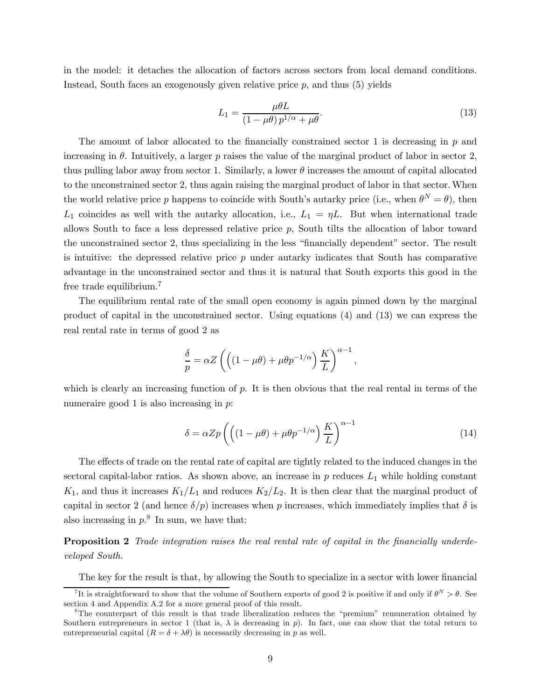in the model: it detaches the allocation of factors across sectors from local demand conditions. Instead, South faces an exogenously given relative price  $p$ , and thus  $(5)$  yields

$$
L_1 = \frac{\mu \theta L}{\left(1 - \mu \theta\right) p^{1/\alpha} + \mu \theta}.\tag{13}
$$

The amount of labor allocated to the financially constrained sector 1 is decreasing in  $p$  and increasing in  $\theta$ . Intuitively, a larger p raises the value of the marginal product of labor in sector 2, thus pulling labor away from sector 1. Similarly, a lower  $\theta$  increases the amount of capital allocated to the unconstrained sector 2, thus again raising the marginal product of labor in that sector.When the world relative price p happens to coincide with South's autarky price (i.e., when  $\theta^N = \theta$ ), then  $L_1$  coincides as well with the autarky allocation, i.e.,  $L_1 = \eta L$ . But when international trade allows South to face a less depressed relative price  $p$ , South tilts the allocation of labor toward the unconstrained sector 2, thus specializing in the less "financially dependent" sector. The result is intuitive: the depressed relative price  $p$  under autarky indicates that South has comparative advantage in the unconstrained sector and thus it is natural that South exports this good in the free trade equilibrium.<sup>7</sup>

The equilibrium rental rate of the small open economy is again pinned down by the marginal product of capital in the unconstrained sector. Using equations (4) and (13) we can express the real rental rate in terms of good 2 as

$$
\frac{\delta}{p} = \alpha Z \left( \left( (1 - \mu \theta) + \mu \theta p^{-1/\alpha} \right) \frac{K}{L} \right)^{\alpha - 1},
$$

which is clearly an increasing function of  $p$ . It is then obvious that the real rental in terms of the numeraire good 1 is also increasing in p.

$$
\delta = \alpha Z p \left( \left( (1 - \mu \theta) + \mu \theta p^{-1/\alpha} \right) \frac{K}{L} \right)^{\alpha - 1} \tag{14}
$$

The effects of trade on the rental rate of capital are tightly related to the induced changes in the sectoral capital-labor ratios. As shown above, an increase in  $p$  reduces  $L_1$  while holding constant  $K_1$ , and thus it increases  $K_1/L_1$  and reduces  $K_2/L_2$ . It is then clear that the marginal product of capital in sector 2 (and hence  $\delta/p$ ) increases when p increases, which immediately implies that  $\delta$  is also increasing in  $p^8$ . In sum, we have that:

Proposition 2 Trade integration raises the real rental rate of capital in the financially underdeveloped South.

The key for the result is that, by allowing the South to specialize in a sector with lower financial

<sup>&</sup>lt;sup>7</sup>It is straightforward to show that the volume of Southern exports of good 2 is positive if and only if  $\theta^N > \theta$ . See section 4 and Appendix A.2 for a more general proof of this result.

<sup>&</sup>lt;sup>8</sup>The counterpart of this result is that trade liberalization reduces the "premium" remuneration obtained by Southern entrepreneurs in sector 1 (that is,  $\lambda$  is decreasing in p). In fact, one can show that the total return to entrepreneurial capital  $(R = \delta + \lambda \theta)$  is necessarily decreasing in p as well.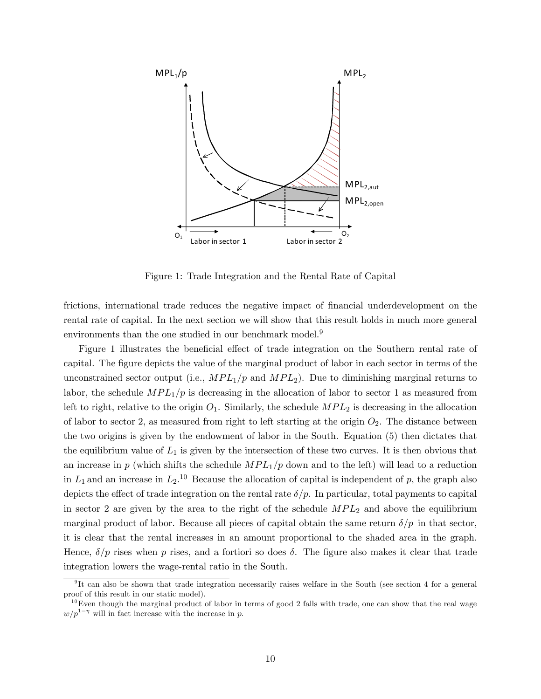

Figure 1: Trade Integration and the Rental Rate of Capital

frictions, international trade reduces the negative impact of financial underdevelopment on the rental rate of capital. In the next section we will show that this result holds in much more general environments than the one studied in our benchmark model.<sup>9</sup>

Figure 1 illustrates the beneficial effect of trade integration on the Southern rental rate of capital. The figure depicts the value of the marginal product of labor in each sector in terms of the unconstrained sector output (i.e.,  $MPL_1/p$  and  $MPL_2$ ). Due to diminishing marginal returns to labor, the schedule  $MPL_1/p$  is decreasing in the allocation of labor to sector 1 as measured from left to right, relative to the origin  $O_1$ . Similarly, the schedule  $MPL_2$  is decreasing in the allocation of labor to sector 2, as measured from right to left starting at the origin  $O_2$ . The distance between the two origins is given by the endowment of labor in the South. Equation (5) then dictates that the equilibrium value of  $L_1$  is given by the intersection of these two curves. It is then obvious that an increase in  $p$  (which shifts the schedule  $MPL_1/p$  down and to the left) will lead to a reduction in  $L_1$  and an increase in  $L_2$ .<sup>10</sup> Because the allocation of capital is independent of p, the graph also depicts the effect of trade integration on the rental rate  $\delta/p$ . In particular, total payments to capital in sector 2 are given by the area to the right of the schedule  $MPL_2$  and above the equilibrium marginal product of labor. Because all pieces of capital obtain the same return  $\delta/p$  in that sector, it is clear that the rental increases in an amount proportional to the shaded area in the graph. Hence,  $\delta/p$  rises when p rises, and a fortiori so does  $\delta$ . The figure also makes it clear that trade integration lowers the wage-rental ratio in the South.

<sup>9</sup> It can also be shown that trade integration necessarily raises welfare in the South (see section 4 for a general proof of this result in our static model).

 $10$ Even though the marginal product of labor in terms of good 2 falls with trade, one can show that the real wage  $w/p^{1-\eta}$  will in fact increase with the increase in p.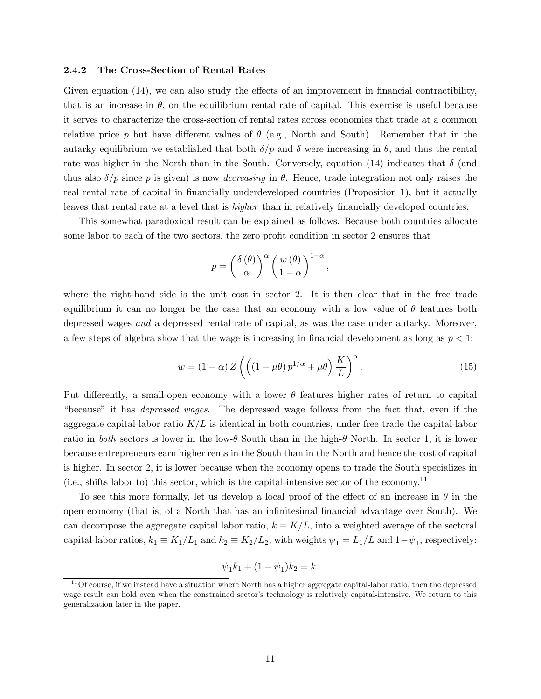#### 2.4.2 The Cross-Section of Rental Rates

Given equation (14), we can also study the effects of an improvement in financial contractibility, that is an increase in  $\theta$ , on the equilibrium rental rate of capital. This exercise is useful because it serves to characterize the cross-section of rental rates across economies that trade at a common relative price p but have different values of  $\theta$  (e.g., North and South). Remember that in the autarky equilibrium we established that both  $\delta/p$  and  $\delta$  were increasing in  $\theta$ , and thus the rental rate was higher in the North than in the South. Conversely, equation (14) indicates that  $\delta$  (and thus also  $\delta/p$  since p is given) is now *decreasing* in  $\theta$ . Hence, trade integration not only raises the real rental rate of capital in financially underdeveloped countries (Proposition 1), but it actually leaves that rental rate at a level that is higher than in relatively financially developed countries.

This somewhat paradoxical result can be explained as follows. Because both countries allocate some labor to each of the two sectors, the zero profit condition in sector 2 ensures that

$$
p = \left(\frac{\delta(\theta)}{\alpha}\right)^{\alpha} \left(\frac{w(\theta)}{1-\alpha}\right)^{1-\alpha}
$$

where the right-hand side is the unit cost in sector 2. It is then clear that in the free trade equilibrium it can no longer be the case that an economy with a low value of  $\theta$  features both depressed wages and a depressed rental rate of capital, as was the case under autarky. Moreover, a few steps of algebra show that the wage is increasing in financial development as long as  $p < 1$ :

$$
w = (1 - \alpha) Z \left( \left( (1 - \mu \theta) p^{1/\alpha} + \mu \theta \right) \frac{K}{L} \right)^{\alpha}.
$$
 (15)

,

Put differently, a small-open economy with a lower  $\theta$  features higher rates of return to capital "because" it has depressed wages. The depressed wage follows from the fact that, even if the aggregate capital-labor ratio  $K/L$  is identical in both countries, under free trade the capital-labor ratio in both sectors is lower in the low- $\theta$  South than in the high- $\theta$  North. In sector 1, it is lower because entrepreneurs earn higher rents in the South than in the North and hence the cost of capital is higher. In sector 2, it is lower because when the economy opens to trade the South specializes in (i.e., shifts labor to) this sector, which is the capital-intensive sector of the economy.<sup>11</sup>

To see this more formally, let us develop a local proof of the effect of an increase in  $\theta$  in the open economy (that is, of a North that has an infinitesimal financial advantage over South). We can decompose the aggregate capital labor ratio,  $k \equiv K/L$ , into a weighted average of the sectoral capital-labor ratios,  $k_1 \equiv K_1/L_1$  and  $k_2 \equiv K_2/L_2$ , with weights  $\psi_1 = L_1/L$  and  $1-\psi_1$ , respectively:

$$
\psi_1 k_1 + (1 - \psi_1) k_2 = k.
$$

 $11$  Of course, if we instead have a situation where North has a higher aggregate capital-labor ratio, then the depressed wage result can hold even when the constrained sector's technology is relatively capital-intensive. We return to this generalization later in the paper.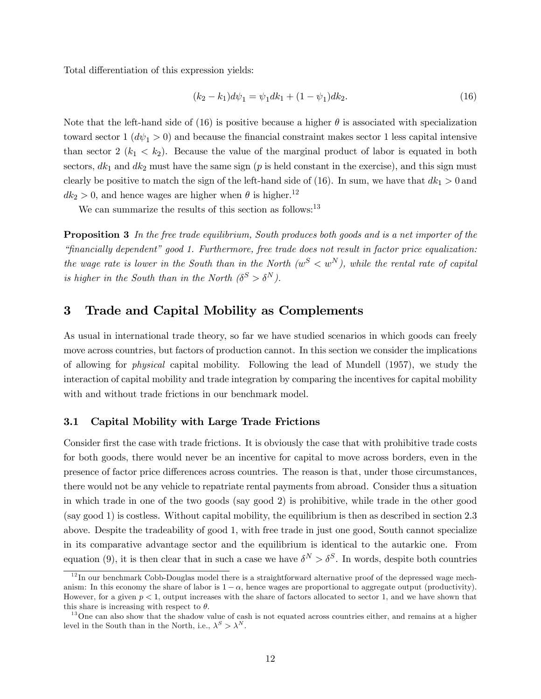Total differentiation of this expression yields:

$$
(k_2 - k_1)d\psi_1 = \psi_1 dk_1 + (1 - \psi_1)dk_2.
$$
\n(16)

Note that the left-hand side of (16) is positive because a higher  $\theta$  is associated with specialization toward sector 1  $(d\psi_1 > 0)$  and because the financial constraint makes sector 1 less capital intensive than sector 2  $(k_1 < k_2)$ . Because the value of the marginal product of labor is equated in both sectors,  $dk_1$  and  $dk_2$  must have the same sign (p is held constant in the exercise), and this sign must clearly be positive to match the sign of the left-hand side of (16). In sum, we have that  $dk_1 > 0$  and  $dk_2 > 0$ , and hence wages are higher when  $\theta$  is higher.<sup>12</sup>

We can summarize the results of this section as follows:<sup>13</sup>

**Proposition 3** In the free trade equilibrium, South produces both goods and is a net importer of the "financially dependent" good 1. Furthermore, free trade does not result in factor price equalization: the wage rate is lower in the South than in the North  $(w^S \lt w^N)$ , while the rental rate of capital is higher in the South than in the North  $(\delta^S > \delta^N)$ .

## 3 Trade and Capital Mobility as Complements

As usual in international trade theory, so far we have studied scenarios in which goods can freely move across countries, but factors of production cannot. In this section we consider the implications of allowing for physical capital mobility. Following the lead of Mundell (1957), we study the interaction of capital mobility and trade integration by comparing the incentives for capital mobility with and without trade frictions in our benchmark model.

## 3.1 Capital Mobility with Large Trade Frictions

Consider first the case with trade frictions. It is obviously the case that with prohibitive trade costs for both goods, there would never be an incentive for capital to move across borders, even in the presence of factor price differences across countries. The reason is that, under those circumstances, there would not be any vehicle to repatriate rental payments from abroad. Consider thus a situation in which trade in one of the two goods (say good 2) is prohibitive, while trade in the other good (say good 1) is costless. Without capital mobility, the equilibrium is then as described in section 2.3 above. Despite the tradeability of good 1, with free trade in just one good, South cannot specialize in its comparative advantage sector and the equilibrium is identical to the autarkic one. From equation (9), it is then clear that in such a case we have  $\delta^N > \delta^S$ . In words, despite both countries

 $12$  In our benchmark Cobb-Douglas model there is a straightforward alternative proof of the depressed wage mechanism: In this economy the share of labor is  $1 - \alpha$ , hence wages are proportional to aggregate output (productivity). However, for a given  $p < 1$ , output increases with the share of factors allocated to sector 1, and we have shown that this share is increasing with respect to  $\theta$ .

<sup>&</sup>lt;sup>13</sup>One can also show that the shadow value of cash is not equated across countries either, and remains at a higher level in the South than in the North, i.e.,  $\lambda^S > \lambda^N$ .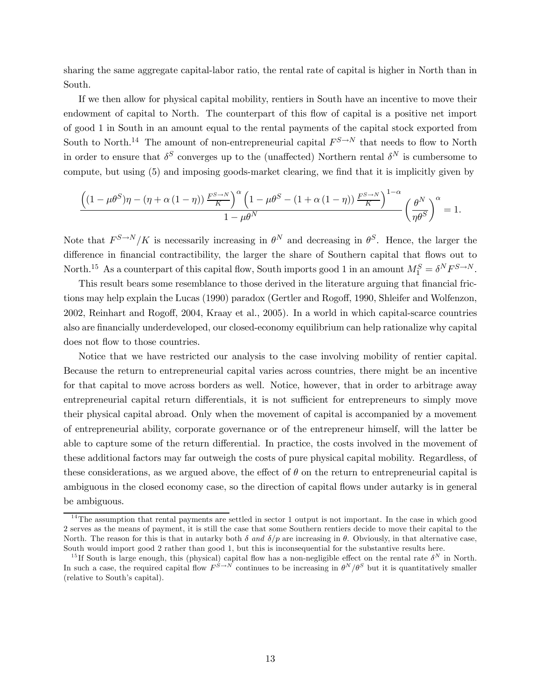sharing the same aggregate capital-labor ratio, the rental rate of capital is higher in North than in South.

If we then allow for physical capital mobility, rentiers in South have an incentive to move their endowment of capital to North. The counterpart of this flow of capital is a positive net import of good 1 in South in an amount equal to the rental payments of the capital stock exported from South to North.<sup>14</sup> The amount of non-entrepreneurial capital  $F^{S\rightarrow N}$  that needs to flow to North in order to ensure that  $\delta^S$  converges up to the (unaffected) Northern rental  $\delta^N$  is cumbersome to compute, but using (5) and imposing goods-market clearing, we find that it is implicitly given by

$$
\frac{\left((1-\mu\theta^S)\eta-(\eta+\alpha\,(1-\eta))\,\frac{F^{S\to N}}{K}\right)^{\alpha}\left(1-\mu\theta^S-(1+\alpha\,(1-\eta))\,\frac{F^{S\to N}}{K}\right)^{1-\alpha}}{1-\mu\theta^N}\left(\frac{\theta^N}{\eta\theta^S}\right)^{\alpha}=1.
$$

Note that  $F^{S\to N}/K$  is necessarily increasing in  $\theta^N$  and decreasing in  $\theta^S$ . Hence, the larger the difference in financial contractibility, the larger the share of Southern capital that flows out to North.<sup>15</sup> As a counterpart of this capital flow, South imports good 1 in an amount  $M_1^S = \delta^N F^{S \to N}$ .

This result bears some resemblance to those derived in the literature arguing that financial frictions may help explain the Lucas (1990) paradox (Gertler and Rogoff, 1990, Shleifer and Wolfenzon, 2002, Reinhart and Rogoff, 2004, Kraay et al., 2005). In a world in which capital-scarce countries also are financially underdeveloped, our closed-economy equilibrium can help rationalize why capital does not flow to those countries.

Notice that we have restricted our analysis to the case involving mobility of rentier capital. Because the return to entrepreneurial capital varies across countries, there might be an incentive for that capital to move across borders as well. Notice, however, that in order to arbitrage away entrepreneurial capital return differentials, it is not sufficient for entrepreneurs to simply move their physical capital abroad. Only when the movement of capital is accompanied by a movement of entrepreneurial ability, corporate governance or of the entrepreneur himself, will the latter be able to capture some of the return differential. In practice, the costs involved in the movement of these additional factors may far outweigh the costs of pure physical capital mobility. Regardless, of these considerations, as we argued above, the effect of  $\theta$  on the return to entrepreneurial capital is ambiguous in the closed economy case, so the direction of capital flows under autarky is in general be ambiguous.

 $14$ The assumption that rental payments are settled in sector 1 output is not important. In the case in which good 2 serves as the means of payment, it is still the case that some Southern rentiers decide to move their capital to the North. The reason for this is that in autarky both  $\delta$  and  $\delta/p$  are increasing in  $\theta$ . Obviously, in that alternative case, South would import good 2 rather than good 1, but this is inconsequential for the substantive results here.

<sup>&</sup>lt;sup>15</sup> If South is large enough, this (physical) capital flow has a non-negligible effect on the rental rate  $\delta^N$  in North. In such a case, the required capital flow  $F^{\dot{S}\to\dot{N}}$  continues to be increasing in  $\theta^N/\theta^S$  but it is quantitatively smaller (relative to South's capital).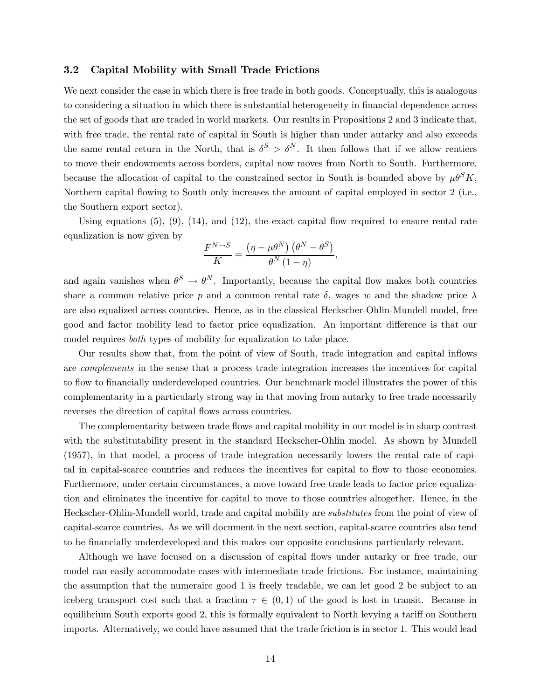## 3.2 Capital Mobility with Small Trade Frictions

We next consider the case in which there is free trade in both goods. Conceptually, this is analogous to considering a situation in which there is substantial heterogeneity in financial dependence across the set of goods that are traded in world markets. Our results in Propositions 2 and 3 indicate that, with free trade, the rental rate of capital in South is higher than under autarky and also exceeds the same rental return in the North, that is  $\delta^S > \delta^N$ . It then follows that if we allow rentiers to move their endowments across borders, capital now moves from North to South. Furthermore, because the allocation of capital to the constrained sector in South is bounded above by  $\mu\theta^S K$ , Northern capital flowing to South only increases the amount of capital employed in sector 2 (i.e., the Southern export sector).

Using equations  $(5)$ ,  $(9)$ ,  $(14)$ , and  $(12)$ , the exact capital flow required to ensure rental rate equalization is now given by

$$
\frac{F^{N\to S}}{K} = \frac{\left(\eta - \mu\theta^N\right)\left(\theta^N - \theta^S\right)}{\theta^N\left(1 - \eta\right)},
$$

and again vanishes when  $\theta^S \to \theta^N$ . Importantly, because the capital flow makes both countries share a common relative price p and a common rental rate  $\delta$ , wages w and the shadow price  $\lambda$ are also equalized across countries. Hence, as in the classical Heckscher-Ohlin-Mundell model, free good and factor mobility lead to factor price equalization. An important difference is that our model requires *both* types of mobility for equalization to take place.

Our results show that, from the point of view of South, trade integration and capital inflows are complements in the sense that a process trade integration increases the incentives for capital to flow to financially underdeveloped countries. Our benchmark model illustrates the power of this complementarity in a particularly strong way in that moving from autarky to free trade necessarily reverses the direction of capital flows across countries.

The complementarity between trade flows and capital mobility in our model is in sharp contrast with the substitutability present in the standard Heckscher-Ohlin model. As shown by Mundell (1957), in that model, a process of trade integration necessarily lowers the rental rate of capital in capital-scarce countries and reduces the incentives for capital to flow to those economies. Furthermore, under certain circumstances, a move toward free trade leads to factor price equalization and eliminates the incentive for capital to move to those countries altogether. Hence, in the Heckscher-Ohlin-Mundell world, trade and capital mobility are substitutes from the point of view of capital-scarce countries. As we will document in the next section, capital-scarce countries also tend to be financially underdeveloped and this makes our opposite conclusions particularly relevant.

Although we have focused on a discussion of capital flows under autarky or free trade, our model can easily accommodate cases with intermediate trade frictions. For instance, maintaining the assumption that the numeraire good 1 is freely tradable, we can let good 2 be subject to an iceberg transport cost such that a fraction  $\tau \in (0,1)$  of the good is lost in transit. Because in equilibrium South exports good 2, this is formally equivalent to North levying a tariff on Southern imports. Alternatively, we could have assumed that the trade friction is in sector 1. This would lead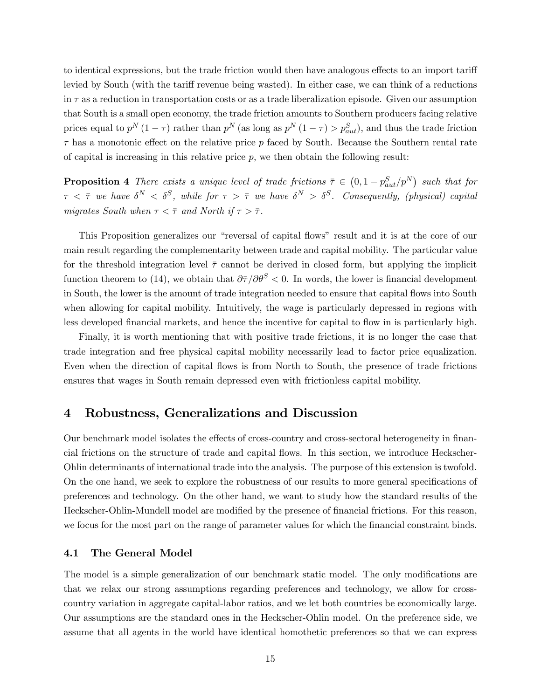to identical expressions, but the trade friction would then have analogous effects to an import tariff levied by South (with the tariff revenue being wasted). In either case, we can think of a reductions  $\sin \tau$  as a reduction in transportation costs or as a trade liberalization episode. Given our assumption that South is a small open economy, the trade friction amounts to Southern producers facing relative prices equal to  $p^N(1-\tau)$  rather than  $p^N$  (as long as  $p^N(1-\tau) > p_{aut}^S$ ), and thus the trade friction  $\tau$  has a monotonic effect on the relative price p faced by South. Because the Southern rental rate of capital is increasing in this relative price  $p$ , we then obtain the following result:

**Proposition 4** There exists a unique level of trade frictions  $\bar{\tau} \in (0, 1 - p_{aut}^S/p^N)$  such that for  $\tau < \bar{\tau}$  we have  $\delta^N < \delta^S$ , while for  $\tau > \bar{\tau}$  we have  $\delta^N > \delta^S$ . Consequently, (physical) capital migrates South when  $\tau < \overline{\tau}$  and North if  $\tau > \overline{\tau}$ .

This Proposition generalizes our "reversal of capital flows" result and it is at the core of our main result regarding the complementarity between trade and capital mobility. The particular value for the threshold integration level  $\bar{\tau}$  cannot be derived in closed form, but applying the implicit function theorem to (14), we obtain that  $\partial \overline{\tau}/\partial \theta^S < 0$ . In words, the lower is financial development in South, the lower is the amount of trade integration needed to ensure that capital flows into South when allowing for capital mobility. Intuitively, the wage is particularly depressed in regions with less developed financial markets, and hence the incentive for capital to flow in is particularly high.

Finally, it is worth mentioning that with positive trade frictions, it is no longer the case that trade integration and free physical capital mobility necessarily lead to factor price equalization. Even when the direction of capital flows is from North to South, the presence of trade frictions ensures that wages in South remain depressed even with frictionless capital mobility.

## 4 Robustness, Generalizations and Discussion

Our benchmark model isolates the effects of cross-country and cross-sectoral heterogeneity in financial frictions on the structure of trade and capital flows. In this section, we introduce Heckscher-Ohlin determinants of international trade into the analysis. The purpose of this extension is twofold. On the one hand, we seek to explore the robustness of our results to more general specifications of preferences and technology. On the other hand, we want to study how the standard results of the Heckscher-Ohlin-Mundell model are modified by the presence of financial frictions. For this reason, we focus for the most part on the range of parameter values for which the financial constraint binds.

#### 4.1 The General Model

The model is a simple generalization of our benchmark static model. The only modifications are that we relax our strong assumptions regarding preferences and technology, we allow for crosscountry variation in aggregate capital-labor ratios, and we let both countries be economically large. Our assumptions are the standard ones in the Heckscher-Ohlin model. On the preference side, we assume that all agents in the world have identical homothetic preferences so that we can express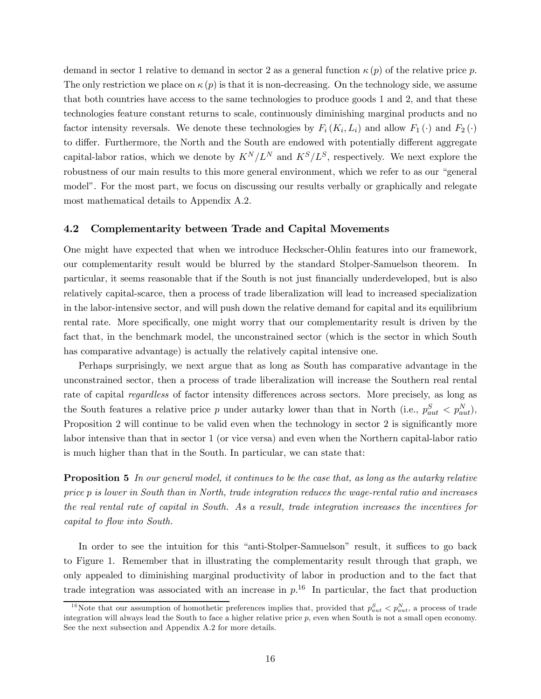demand in sector 1 relative to demand in sector 2 as a general function  $\kappa(p)$  of the relative price p. The only restriction we place on  $\kappa(p)$  is that it is non-decreasing. On the technology side, we assume that both countries have access to the same technologies to produce goods 1 and 2, and that these technologies feature constant returns to scale, continuously diminishing marginal products and no factor intensity reversals. We denote these technologies by  $F_i(K_i, L_i)$  and allow  $F_1(\cdot)$  and  $F_2(\cdot)$ to differ. Furthermore, the North and the South are endowed with potentially different aggregate capital-labor ratios, which we denote by  $K^N/L^N$  and  $K^S/L^S$ , respectively. We next explore the robustness of our main results to this more general environment, which we refer to as our "general model". For the most part, we focus on discussing our results verbally or graphically and relegate most mathematical details to Appendix A.2.

#### 4.2 Complementarity between Trade and Capital Movements

One might have expected that when we introduce Heckscher-Ohlin features into our framework, our complementarity result would be blurred by the standard Stolper-Samuelson theorem. In particular, it seems reasonable that if the South is not just financially underdeveloped, but is also relatively capital-scarce, then a process of trade liberalization will lead to increased specialization in the labor-intensive sector, and will push down the relative demand for capital and its equilibrium rental rate. More specifically, one might worry that our complementarity result is driven by the fact that, in the benchmark model, the unconstrained sector (which is the sector in which South has comparative advantage) is actually the relatively capital intensive one.

Perhaps surprisingly, we next argue that as long as South has comparative advantage in the unconstrained sector, then a process of trade liberalization will increase the Southern real rental rate of capital regardless of factor intensity differences across sectors. More precisely, as long as the South features a relative price p under autarky lower than that in North (i.e.,  $p_{aut}^S$   $\langle p_{aut}^N$ ), Proposition 2 will continue to be valid even when the technology in sector 2 is significantly more labor intensive than that in sector 1 (or vice versa) and even when the Northern capital-labor ratio is much higher than that in the South. In particular, we can state that:

**Proposition 5** In our general model, it continues to be the case that, as long as the autarky relative price p is lower in South than in North, trade integration reduces the wage-rental ratio and increases the real rental rate of capital in South. As a result, trade integration increases the incentives for capital to flow into South.

In order to see the intuition for this "anti-Stolper-Samuelson" result, it suffices to go back to Figure 1. Remember that in illustrating the complementarity result through that graph, we only appealed to diminishing marginal productivity of labor in production and to the fact that trade integration was associated with an increase in  $p<sup>16</sup>$ . In particular, the fact that production

<sup>&</sup>lt;sup>16</sup>Note that our assumption of homothetic preferences implies that, provided that  $p_{aut}^S < p_{aut}^N$ , a process of trade integration will always lead the South to face a higher relative price  $p$ , even when South is not a small open economy. See the next subsection and Appendix A.2 for more details.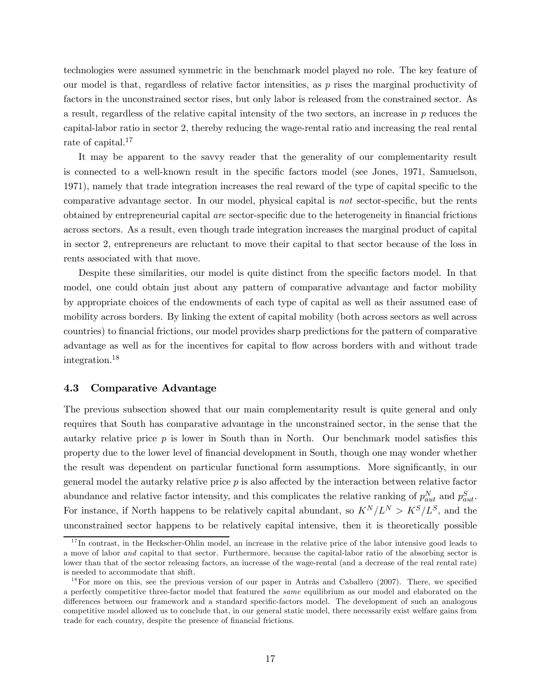technologies were assumed symmetric in the benchmark model played no role. The key feature of our model is that, regardless of relative factor intensities, as  $p$  rises the marginal productivity of factors in the unconstrained sector rises, but only labor is released from the constrained sector. As a result, regardless of the relative capital intensity of the two sectors, an increase in p reduces the capital-labor ratio in sector 2, thereby reducing the wage-rental ratio and increasing the real rental rate of capital.<sup>17</sup>

It may be apparent to the savvy reader that the generality of our complementarity result is connected to a well-known result in the specific factors model (see Jones, 1971, Samuelson, 1971), namely that trade integration increases the real reward of the type of capital specific to the comparative advantage sector. In our model, physical capital is not sector-specific, but the rents obtained by entrepreneurial capital are sector-specific due to the heterogeneity in financial frictions across sectors. As a result, even though trade integration increases the marginal product of capital in sector 2, entrepreneurs are reluctant to move their capital to that sector because of the loss in rents associated with that move.

Despite these similarities, our model is quite distinct from the specific factors model. In that model, one could obtain just about any pattern of comparative advantage and factor mobility by appropriate choices of the endowments of each type of capital as well as their assumed ease of mobility across borders. By linking the extent of capital mobility (both across sectors as well across countries) to financial frictions, our model provides sharp predictions for the pattern of comparative advantage as well as for the incentives for capital to flow across borders with and without trade integration.18

#### 4.3 Comparative Advantage

The previous subsection showed that our main complementarity result is quite general and only requires that South has comparative advantage in the unconstrained sector, in the sense that the autarky relative price  $p$  is lower in South than in North. Our benchmark model satisfies this property due to the lower level of financial development in South, though one may wonder whether the result was dependent on particular functional form assumptions. More significantly, in our general model the autarky relative price  $p$  is also affected by the interaction between relative factor abundance and relative factor intensity, and this complicates the relative ranking of  $p_{aut}^N$  and  $p_{aut}^S$ . For instance, if North happens to be relatively capital abundant, so  $K^N/L^N > K^S/L^S$ , and the unconstrained sector happens to be relatively capital intensive, then it is theoretically possible

 $17$  In contrast, in the Heckscher-Ohlin model, an increase in the relative price of the labor intensive good leads to a move of labor and capital to that sector. Furthermore, because the capital-labor ratio of the absorbing sector is lower than that of the sector releasing factors, an increase of the wage-rental (and a decrease of the real rental rate) is needed to accommodate that shift.

 $18$  For more on this, see the previous version of our paper in Antràs and Caballero (2007). There, we specified a perfectly competitive three-factor model that featured the same equilibrium as our model and elaborated on the differences between our framework and a standard specific-factors model. The development of such an analogous competitive model allowed us to conclude that, in our general static model, there necessarily exist welfare gains from trade for each country, despite the presence of financial frictions.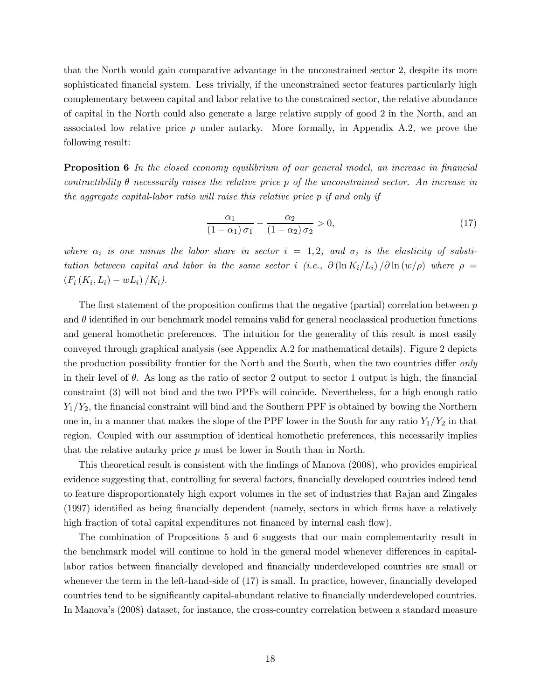that the North would gain comparative advantage in the unconstrained sector 2, despite its more sophisticated financial system. Less trivially, if the unconstrained sector features particularly high complementary between capital and labor relative to the constrained sector, the relative abundance of capital in the North could also generate a large relative supply of good 2 in the North, and an associated low relative price  $p$  under autarky. More formally, in Appendix A.2, we prove the following result:

**Proposition 6** In the closed economy equilibrium of our general model, an increase in financial contractibility  $\theta$  necessarily raises the relative price p of the unconstrained sector. An increase in the aggregate capital-labor ratio will raise this relative price p if and only if

$$
\frac{\alpha_1}{\left(1-\alpha_1\right)\sigma_1} - \frac{\alpha_2}{\left(1-\alpha_2\right)\sigma_2} > 0,\tag{17}
$$

where  $\alpha_i$  is one minus the labor share in sector  $i = 1, 2$ , and  $\sigma_i$  is the elasticity of substitution between capital and labor in the same sector i (i.e.,  $\partial (\ln K_i/L_i)/\partial \ln(w/\rho)$  where  $\rho =$  $(F_i (K_i, L_i) - w L_i) / K_i$ .

The first statement of the proposition confirms that the negative (partial) correlation between  $p$ and  $\theta$  identified in our benchmark model remains valid for general neoclassical production functions and general homothetic preferences. The intuition for the generality of this result is most easily conveyed through graphical analysis (see Appendix A.2 for mathematical details). Figure 2 depicts the production possibility frontier for the North and the South, when the two countries differ only in their level of  $\theta$ . As long as the ratio of sector 2 output to sector 1 output is high, the financial constraint (3) will not bind and the two PPFs will coincide. Nevertheless, for a high enough ratio  $Y_1/Y_2$ , the financial constraint will bind and the Southern PPF is obtained by bowing the Northern one in, in a manner that makes the slope of the PPF lower in the South for any ratio  $Y_1/Y_2$  in that region. Coupled with our assumption of identical homothetic preferences, this necessarily implies that the relative autarky price p must be lower in South than in North.

This theoretical result is consistent with the findings of Manova (2008), who provides empirical evidence suggesting that, controlling for several factors, financially developed countries indeed tend to feature disproportionately high export volumes in the set of industries that Rajan and Zingales (1997) identified as being financially dependent (namely, sectors in which firms have a relatively high fraction of total capital expenditures not financed by internal cash flow).

The combination of Propositions 5 and 6 suggests that our main complementarity result in the benchmark model will continue to hold in the general model whenever differences in capitallabor ratios between financially developed and financially underdeveloped countries are small or whenever the term in the left-hand-side of (17) is small. In practice, however, financially developed countries tend to be significantly capital-abundant relative to financially underdeveloped countries. In Manova's (2008) dataset, for instance, the cross-country correlation between a standard measure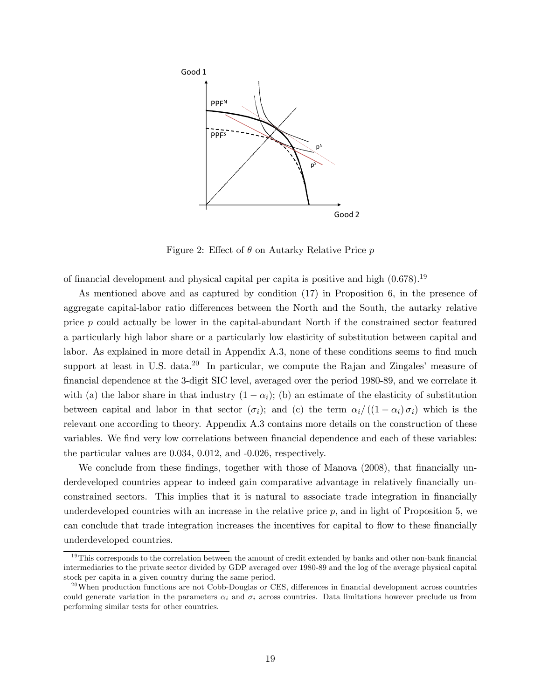

Figure 2: Effect of  $\theta$  on Autarky Relative Price p

of financial development and physical capital per capita is positive and high  $(0.678)$ .<sup>19</sup>

As mentioned above and as captured by condition (17) in Proposition 6, in the presence of aggregate capital-labor ratio differences between the North and the South, the autarky relative price p could actually be lower in the capital-abundant North if the constrained sector featured a particularly high labor share or a particularly low elasticity of substitution between capital and labor. As explained in more detail in Appendix A.3, none of these conditions seems to find much support at least in U.S. data.<sup>20</sup> In particular, we compute the Rajan and Zingales' measure of financial dependence at the 3-digit SIC level, averaged over the period 1980-89, and we correlate it with (a) the labor share in that industry  $(1 - \alpha_i)$ ; (b) an estimate of the elasticity of substitution between capital and labor in that sector  $(\sigma_i)$ ; and (c) the term  $\alpha_i/((1 - \alpha_i)\sigma_i)$  which is the relevant one according to theory. Appendix A.3 contains more details on the construction of these variables. We find very low correlations between financial dependence and each of these variables: the particular values are 0.034, 0.012, and -0.026, respectively.

We conclude from these findings, together with those of Manova (2008), that financially underdeveloped countries appear to indeed gain comparative advantage in relatively financially unconstrained sectors. This implies that it is natural to associate trade integration in financially underdeveloped countries with an increase in the relative price  $p$ , and in light of Proposition 5, we can conclude that trade integration increases the incentives for capital to flow to these financially underdeveloped countries.

 $19$ This corresponds to the correlation between the amount of credit extended by banks and other non-bank financial intermediaries to the private sector divided by GDP averaged over 1980-89 and the log of the average physical capital stock per capita in a given country during the same period.

<sup>&</sup>lt;sup>20</sup>When production functions are not Cobb-Douglas or CES, differences in financial development across countries could generate variation in the parameters  $\alpha_i$  and  $\sigma_i$  across countries. Data limitations however preclude us from performing similar tests for other countries.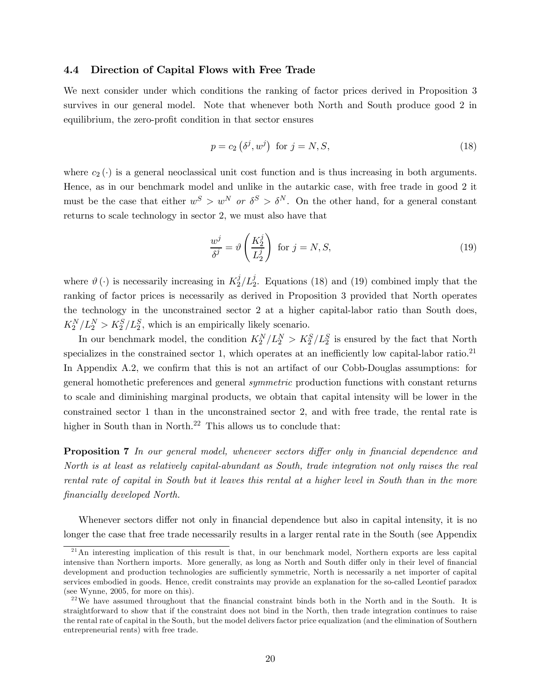#### 4.4 Direction of Capital Flows with Free Trade

We next consider under which conditions the ranking of factor prices derived in Proposition 3 survives in our general model. Note that whenever both North and South produce good 2 in equilibrium, the zero-profit condition in that sector ensures

$$
p = c_2 \left(\delta^j, w^j\right) \text{ for } j = N, S,
$$
\n
$$
(18)
$$

where  $c_2(\cdot)$  is a general neoclassical unit cost function and is thus increasing in both arguments. Hence, as in our benchmark model and unlike in the autarkic case, with free trade in good 2 it must be the case that either  $w^S > w^N$  or  $\delta^S > \delta^N$ . On the other hand, for a general constant returns to scale technology in sector 2, we must also have that

$$
\frac{w^j}{\delta^j} = \vartheta \left(\frac{K_2^j}{L_2^j}\right) \text{ for } j = N, S,
$$
\n(19)

where  $\vartheta(\cdot)$  is necessarily increasing in  $K_2^j/L_2^j$ . Equations (18) and (19) combined imply that the ranking of factor prices is necessarily as derived in Proposition 3 provided that North operates the technology in the unconstrained sector 2 at a higher capital-labor ratio than South does,  $K_2^N/L_2^N > K_2^S/L_2^S$ , which is an empirically likely scenario.

In our benchmark model, the condition  $K_2^N/L_2^N > K_2^S/L_2^S$  is ensured by the fact that North specializes in the constrained sector 1, which operates at an inefficiently low capital-labor ratio.<sup>21</sup> In Appendix A.2, we confirm that this is not an artifact of our Cobb-Douglas assumptions: for general homothetic preferences and general symmetric production functions with constant returns to scale and diminishing marginal products, we obtain that capital intensity will be lower in the constrained sector 1 than in the unconstrained sector 2, and with free trade, the rental rate is higher in South than in North.<sup>22</sup> This allows us to conclude that:

Proposition 7 In our general model, whenever sectors differ only in financial dependence and North is at least as relatively capital-abundant as South, trade integration not only raises the real rental rate of capital in South but it leaves this rental at a higher level in South than in the more financially developed North.

Whenever sectors differ not only in financial dependence but also in capital intensity, it is no longer the case that free trade necessarily results in a larger rental rate in the South (see Appendix

 $^{21}$ An interesting implication of this result is that, in our benchmark model, Northern exports are less capital intensive than Northern imports. More generally, as long as North and South differ only in their level of financial development and production technologies are sufficiently symmetric, North is necessarily a net importer of capital services embodied in goods. Hence, credit constraints may provide an explanation for the so-called Leontief paradox (see Wynne, 2005, for more on this).

 $2<sup>22</sup>$  We have assumed throughout that the financial constraint binds both in the North and in the South. It is straightforward to show that if the constraint does not bind in the North, then trade integration continues to raise the rental rate of capital in the South, but the model delivers factor price equalization (and the elimination of Southern entrepreneurial rents) with free trade.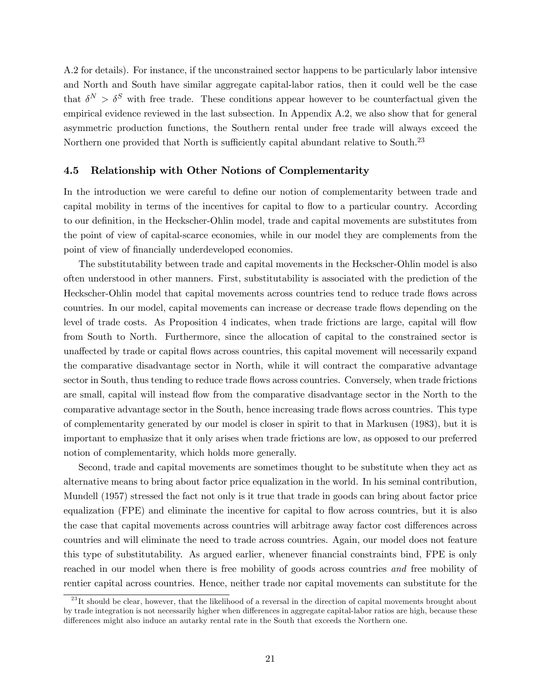A.2 for details). For instance, if the unconstrained sector happens to be particularly labor intensive and North and South have similar aggregate capital-labor ratios, then it could well be the case that  $\delta^N > \delta^S$  with free trade. These conditions appear however to be counterfactual given the empirical evidence reviewed in the last subsection. In Appendix A.2, we also show that for general asymmetric production functions, the Southern rental under free trade will always exceed the Northern one provided that North is sufficiently capital abundant relative to South.<sup>23</sup>

#### 4.5 Relationship with Other Notions of Complementarity

In the introduction we were careful to define our notion of complementarity between trade and capital mobility in terms of the incentives for capital to flow to a particular country. According to our definition, in the Heckscher-Ohlin model, trade and capital movements are substitutes from the point of view of capital-scarce economies, while in our model they are complements from the point of view of financially underdeveloped economies.

The substitutability between trade and capital movements in the Heckscher-Ohlin model is also often understood in other manners. First, substitutability is associated with the prediction of the Heckscher-Ohlin model that capital movements across countries tend to reduce trade flows across countries. In our model, capital movements can increase or decrease trade flows depending on the level of trade costs. As Proposition 4 indicates, when trade frictions are large, capital will flow from South to North. Furthermore, since the allocation of capital to the constrained sector is unaffected by trade or capital flows across countries, this capital movement will necessarily expand the comparative disadvantage sector in North, while it will contract the comparative advantage sector in South, thus tending to reduce trade flows across countries. Conversely, when trade frictions are small, capital will instead flow from the comparative disadvantage sector in the North to the comparative advantage sector in the South, hence increasing trade flows across countries. This type of complementarity generated by our model is closer in spirit to that in Markusen (1983), but it is important to emphasize that it only arises when trade frictions are low, as opposed to our preferred notion of complementarity, which holds more generally.

Second, trade and capital movements are sometimes thought to be substitute when they act as alternative means to bring about factor price equalization in the world. In his seminal contribution, Mundell (1957) stressed the fact not only is it true that trade in goods can bring about factor price equalization (FPE) and eliminate the incentive for capital to flow across countries, but it is also the case that capital movements across countries will arbitrage away factor cost differences across countries and will eliminate the need to trade across countries. Again, our model does not feature this type of substitutability. As argued earlier, whenever financial constraints bind, FPE is only reached in our model when there is free mobility of goods across countries *and* free mobility of rentier capital across countries. Hence, neither trade nor capital movements can substitute for the

 $^{23}$ It should be clear, however, that the likelihood of a reversal in the direction of capital movements brought about by trade integration is not necessarily higher when differences in aggregate capital-labor ratios are high, because these differences might also induce an autarky rental rate in the South that exceeds the Northern one.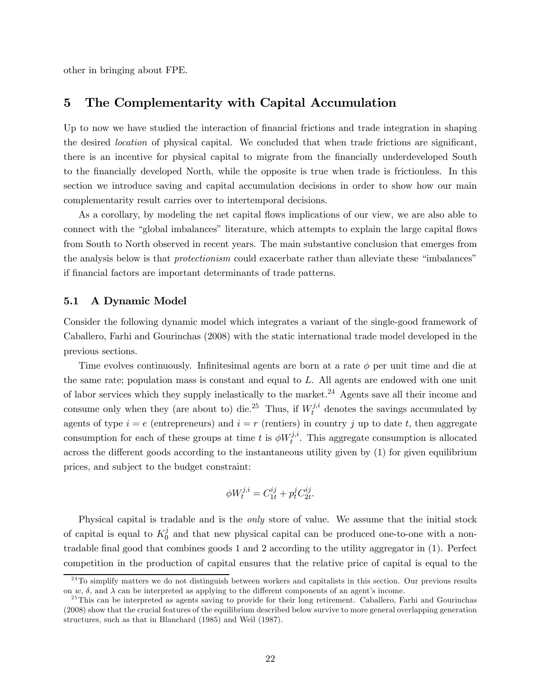other in bringing about FPE.

# 5 The Complementarity with Capital Accumulation

Up to now we have studied the interaction of financial frictions and trade integration in shaping the desired location of physical capital. We concluded that when trade frictions are significant, there is an incentive for physical capital to migrate from the financially underdeveloped South to the financially developed North, while the opposite is true when trade is frictionless. In this section we introduce saving and capital accumulation decisions in order to show how our main complementarity result carries over to intertemporal decisions.

As a corollary, by modeling the net capital flows implications of our view, we are also able to connect with the "global imbalances" literature, which attempts to explain the large capital flows from South to North observed in recent years. The main substantive conclusion that emerges from the analysis below is that protectionism could exacerbate rather than alleviate these "imbalances" if financial factors are important determinants of trade patterns.

#### 5.1 A Dynamic Model

Consider the following dynamic model which integrates a variant of the single-good framework of Caballero, Farhi and Gourinchas (2008) with the static international trade model developed in the previous sections.

Time evolves continuously. Infinitesimal agents are born at a rate  $\phi$  per unit time and die at the same rate; population mass is constant and equal to L. All agents are endowed with one unit of labor services which they supply inelastically to the market.<sup>24</sup> Agents save all their income and consume only when they (are about to) die.<sup>25</sup> Thus, if  $W_t^{j,i}$  denotes the savings accumulated by agents of type  $i = e$  (entrepreneurs) and  $i = r$  (rentiers) in country j up to date t, then aggregate consumption for each of these groups at time t is  $\phi W_t^{j,i}$ . This aggregate consumption is allocated across the different goods according to the instantaneous utility given by (1) for given equilibrium prices, and subject to the budget constraint:

$$
\phi W_t^{j,i} = C_{1t}^{ij} + p_t^j C_{2t}^{ij}.
$$

Physical capital is tradable and is the *only* store of value. We assume that the initial stock of capital is equal to  $K_0^j$  and that new physical capital can be produced one-to-one with a nontradable final good that combines goods 1 and 2 according to the utility aggregator in (1). Perfect competition in the production of capital ensures that the relative price of capital is equal to the

 $24$ To simplify matters we do not distinguish between workers and capitalists in this section. Our previous results on w,  $\delta$ , and  $\lambda$  can be interpreted as applying to the different components of an agent's income.

 $^{25}$ This can be interpreted as agents saving to provide for their long retirement. Caballero, Farhi and Gourinchas (2008) show that the crucial features of the equilibrium described below survive to more general overlapping generation structures, such as that in Blanchard (1985) and Weil (1987).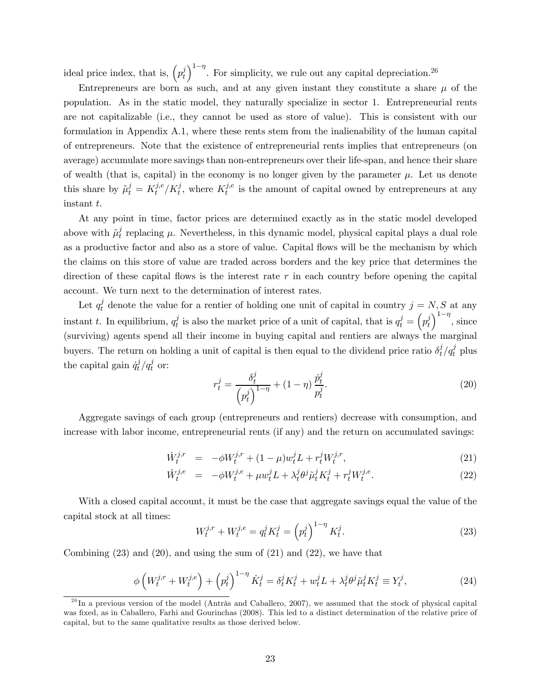ideal price index, that is,  $\left( p_t^j \right)$  $\int_{1-\eta}^{1-\eta}$ . For simplicity, we rule out any capital depreciation.<sup>26</sup>

Entrepreneurs are born as such, and at any given instant they constitute a share  $\mu$  of the population. As in the static model, they naturally specialize in sector 1. Entrepreneurial rents are not capitalizable (i.e., they cannot be used as store of value). This is consistent with our formulation in Appendix A.1, where these rents stem from the inalienability of the human capital of entrepreneurs. Note that the existence of entrepreneurial rents implies that entrepreneurs (on average) accumulate more savings than non-entrepreneurs over their life-span, and hence their share of wealth (that is, capital) in the economy is no longer given by the parameter  $\mu$ . Let us denote this share by  $\tilde{\mu}_t^j = K_t^{j,e}/K_t^j$ , where  $K_t^{j,e}$  is the amount of capital owned by entrepreneurs at any instant t.

At any point in time, factor prices are determined exactly as in the static model developed above with  $\tilde{\mu}_t^j$  replacing  $\mu$ . Nevertheless, in this dynamic model, physical capital plays a dual role as a productive factor and also as a store of value. Capital flows will be the mechanism by which the claims on this store of value are traded across borders and the key price that determines the direction of these capital flows is the interest rate  $r$  in each country before opening the capital account. We turn next to the determination of interest rates.

Let  $q_t^j$  denote the value for a rentier of holding one unit of capital in country  $j = N, S$  at any instant t. In equilibrium,  $q_t^j$  is also the market price of a unit of capital, that is  $q_t^j = \left(p_t^j\right)$  $\big)^{1-\eta}$ , since (surviving) agents spend all their income in buying capital and rentiers are always the marginal buyers. The return on holding a unit of capital is then equal to the dividend price ratio  $\delta_t^j/q_t^j$  plus the capital gain  $\dot{q}_t^j / q_t^j$  or:

$$
r_t^j = \frac{\delta_t^j}{\left(p_t^j\right)^{1-\eta}} + (1-\eta) \frac{p_t^j}{p_t^j}.
$$
\n(20)

Aggregate savings of each group (entrepreneurs and rentiers) decrease with consumption, and increase with labor income, entrepreneurial rents (if any) and the return on accumulated savings:

$$
\dot{W}_t^{j,r} = -\phi W_t^{j,r} + (1 - \mu) w_t^j L + r_t^j W_t^{j,r}, \qquad (21)
$$

$$
\dot{W}_t^{j,e} = -\phi W_t^{j,e} + \mu w_t^j L + \lambda_t^j \theta^j \tilde{\mu}_t^j K_t^j + r_t^j W_t^{j,e}.
$$
\n(22)

With a closed capital account, it must be the case that aggregate savings equal the value of the capital stock at all times:

$$
W_t^{j,r} + W_t^{j,e} = q_t^j K_t^j = \left(p_t^j\right)^{1-\eta} K_t^j.
$$
\n(23)

Combining  $(23)$  and  $(20)$ , and using the sum of  $(21)$  and  $(22)$ , we have that

$$
\phi \left( W_t^{j,r} + W_t^{j,e} \right) + \left( p_t^j \right)^{1-\eta} \dot{K}_t^j = \delta_t^j K_t^j + w_t^j L + \lambda_t^j \theta^j \tilde{\mu}_t^j K_t^j \equiv Y_t^j, \tag{24}
$$

 $^{26}$ In a previous version of the model (Antràs and Caballero, 2007), we assumed that the stock of physical capital was fixed, as in Caballero, Farhi and Gourinchas (2008). This led to a distinct determination of the relative price of capital, but to the same qualitative results as those derived below.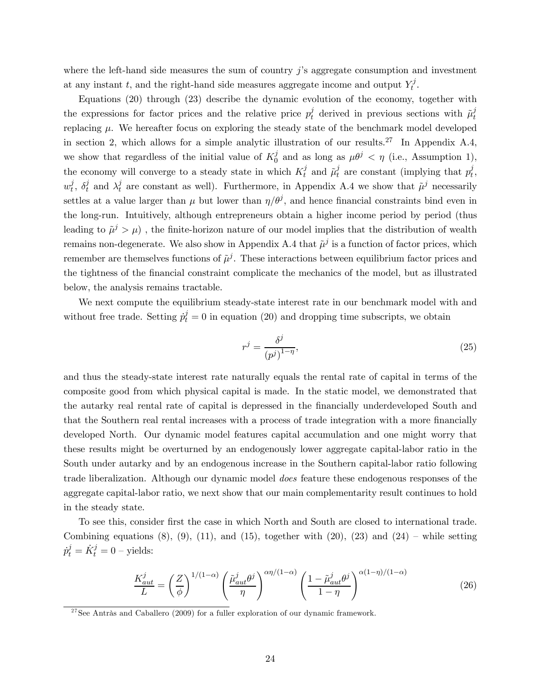where the left-hand side measures the sum of country  $j$ 's aggregate consumption and investment at any instant t, and the right-hand side measures aggregate income and output  $Y_t^j$ .

Equations (20) through (23) describe the dynamic evolution of the economy, together with the expressions for factor prices and the relative price  $p_t^j$  derived in previous sections with  $\tilde{\mu}_t^j$ replacing  $\mu$ . We hereafter focus on exploring the steady state of the benchmark model developed in section 2, which allows for a simple analytic illustration of our results.<sup>27</sup> In Appendix A.4, we show that regardless of the initial value of  $K_0^j$  and as long as  $\mu \theta^j < \eta$  (i.e., Assumption 1), the economy will converge to a steady state in which  $K_t^j$  and  $\tilde{\mu}_t^j$  are constant (implying that  $p_t^j$ ,  $w_t^j$ ,  $\delta_t^j$  and  $\lambda_t^j$  are constant as well). Furthermore, in Appendix A.4 we show that  $\tilde{\mu}^j$  necessarily settles at a value larger than  $\mu$  but lower than  $\eta/\theta^j$ , and hence financial constraints bind even in the long-run. Intuitively, although entrepreneurs obtain a higher income period by period (thus leading to  $\tilde{\mu}^j > \mu$ ), the finite-horizon nature of our model implies that the distribution of wealth remains non-degenerate. We also show in Appendix A.4 that  $\tilde{\mu}^j$  is a function of factor prices, which remember are themselves functions of  $\tilde{\mu}^j$ . These interactions between equilibrium factor prices and the tightness of the financial constraint complicate the mechanics of the model, but as illustrated below, the analysis remains tractable.

We next compute the equilibrium steady-state interest rate in our benchmark model with and without free trade. Setting  $\dot{p}_t^j = 0$  in equation (20) and dropping time subscripts, we obtain

$$
r^j = \frac{\delta^j}{(p^j)^{1-\eta}},\tag{25}
$$

and thus the steady-state interest rate naturally equals the rental rate of capital in terms of the composite good from which physical capital is made. In the static model, we demonstrated that the autarky real rental rate of capital is depressed in the financially underdeveloped South and that the Southern real rental increases with a process of trade integration with a more financially developed North. Our dynamic model features capital accumulation and one might worry that these results might be overturned by an endogenously lower aggregate capital-labor ratio in the South under autarky and by an endogenous increase in the Southern capital-labor ratio following trade liberalization. Although our dynamic model does feature these endogenous responses of the aggregate capital-labor ratio, we next show that our main complementarity result continues to hold in the steady state.

To see this, consider first the case in which North and South are closed to international trade. Combining equations  $(8)$ ,  $(9)$ ,  $(11)$ , and  $(15)$ , together with  $(20)$ ,  $(23)$  and  $(24)$  – while setting  $\dot{p}_t^j = \dot{K}_t^j = 0$  – yields:

$$
\frac{K_{aut}^j}{L} = \left(\frac{Z}{\phi}\right)^{1/(1-\alpha)} \left(\frac{\tilde{\mu}_{aut}^j \theta^j}{\eta}\right)^{\alpha \eta/(1-\alpha)} \left(\frac{1-\tilde{\mu}_{aut}^j \theta^j}{1-\eta}\right)^{\alpha(1-\eta)/(1-\alpha)}\tag{26}
$$

 $^{27}$ See Antràs and Caballero (2009) for a fuller exploration of our dynamic framework.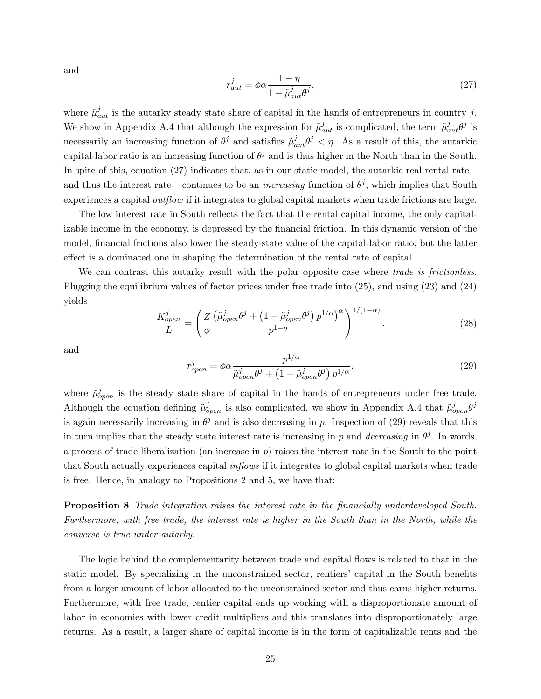and

$$
r_{aut}^j = \phi \alpha \frac{1 - \eta}{1 - \tilde{\mu}_{aut}^j \theta^j},\tag{27}
$$

where  $\tilde{\mu}_{aut}^j$  is the autarky steady state share of capital in the hands of entrepreneurs in country j. We show in Appendix A.4 that although the expression for  $\tilde{\mu}_{aut}^j$  is complicated, the term  $\tilde{\mu}_{aut}^j\theta^j$  is necessarily an increasing function of  $\theta^j$  and satisfies  $\tilde{\mu}^j_{aut}\theta^j < \eta$ . As a result of this, the autarkic capital-labor ratio is an increasing function of  $\theta^j$  and is thus higher in the North than in the South. In spite of this, equation  $(27)$  indicates that, as in our static model, the autarkic real rental rate  $$ and thus the interest rate – continues to be an *increasing* function of  $\theta^j$ , which implies that South experiences a capital outflow if it integrates to global capital markets when trade frictions are large.

The low interest rate in South reflects the fact that the rental capital income, the only capitalizable income in the economy, is depressed by the financial friction. In this dynamic version of the model, financial frictions also lower the steady-state value of the capital-labor ratio, but the latter effect is a dominated one in shaping the determination of the rental rate of capital.

We can contrast this autarky result with the polar opposite case where trade is frictionless. Plugging the equilibrium values of factor prices under free trade into (25), and using (23) and (24) yields

$$
\frac{K_{open}^j}{L} = \left(\frac{Z}{\phi} \frac{\left(\tilde{\mu}_{open}^j \theta^j + \left(1 - \tilde{\mu}_{open}^j \theta^j\right) p^{1/\alpha}\right)^\alpha}{p^{1-\eta}}\right)^{1/(1-\alpha)}.
$$
\n(28)

and

$$
r_{open}^{j} = \phi \alpha \frac{p^{1/\alpha}}{\tilde{\mu}_{open}^{j} \theta^{j} + \left(1 - \tilde{\mu}_{open}^{j} \theta^{j}\right) p^{1/\alpha}},\tag{29}
$$

where  $\tilde{\mu}_{open}^j$  is the steady state share of capital in the hands of entrepreneurs under free trade. Although the equation defining  $\tilde{\mu}_{open}^j$  is also complicated, we show in Appendix A.4 that  $\tilde{\mu}_{open}^j\theta^j$ is again necessarily increasing in  $\theta^j$  and is also decreasing in p. Inspection of (29) reveals that this in turn implies that the steady state interest rate is increasing in p and *decreasing* in  $\theta^j$ . In words, a process of trade liberalization (an increase in  $p$ ) raises the interest rate in the South to the point that South actually experiences capital inflows if it integrates to global capital markets when trade is free. Hence, in analogy to Propositions 2 and 5, we have that:

**Proposition 8** Trade integration raises the interest rate in the financially underdeveloped South. Furthermore, with free trade, the interest rate is higher in the South than in the North, while the converse is true under autarky.

The logic behind the complementarity between trade and capital flows is related to that in the static model. By specializing in the unconstrained sector, rentiers' capital in the South benefits from a larger amount of labor allocated to the unconstrained sector and thus earns higher returns. Furthermore, with free trade, rentier capital ends up working with a disproportionate amount of labor in economies with lower credit multipliers and this translates into disproportionately large returns. As a result, a larger share of capital income is in the form of capitalizable rents and the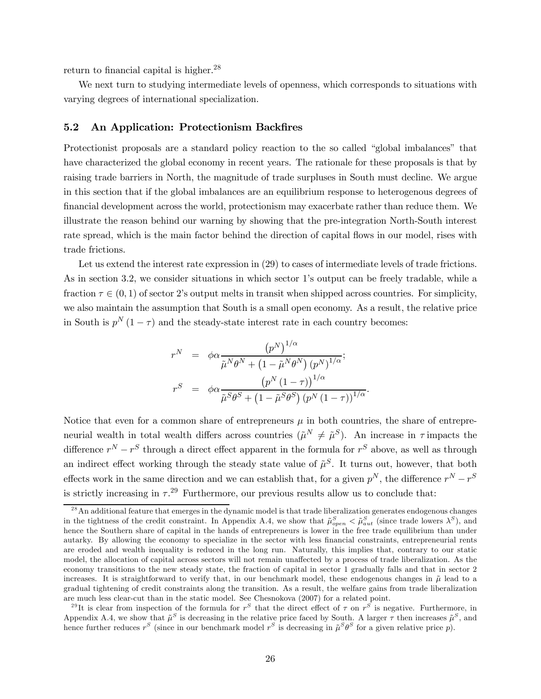return to financial capital is higher.<sup>28</sup>

We next turn to studying intermediate levels of openness, which corresponds to situations with varying degrees of international specialization.

#### 5.2 An Application: Protectionism Backfires

Protectionist proposals are a standard policy reaction to the so called "global imbalances" that have characterized the global economy in recent years. The rationale for these proposals is that by raising trade barriers in North, the magnitude of trade surpluses in South must decline. We argue in this section that if the global imbalances are an equilibrium response to heterogenous degrees of financial development across the world, protectionism may exacerbate rather than reduce them. We illustrate the reason behind our warning by showing that the pre-integration North-South interest rate spread, which is the main factor behind the direction of capital flows in our model, rises with trade frictions.

Let us extend the interest rate expression in  $(29)$  to cases of intermediate levels of trade frictions. As in section 3.2, we consider situations in which sector 1's output can be freely tradable, while a fraction  $\tau \in (0,1)$  of sector 2's output melts in transit when shipped across countries. For simplicity, we also maintain the assumption that South is a small open economy. As a result, the relative price in South is  $p^{N}(1-\tau)$  and the steady-state interest rate in each country becomes:

$$
r^N = \phi \alpha \frac{\left(p^N\right)^{1/\alpha}}{\tilde{\mu}^N \theta^N + \left(1 - \tilde{\mu}^N \theta^N\right) \left(p^N\right)^{1/\alpha}};
$$
  

$$
r^S = \phi \alpha \frac{\left(p^N \left(1 - \tau\right)\right)^{1/\alpha}}{\tilde{\mu}^S \theta^S + \left(1 - \tilde{\mu}^S \theta^S\right) \left(p^N \left(1 - \tau\right)\right)^{1/\alpha}}.
$$

Notice that even for a common share of entrepreneurs  $\mu$  in both countries, the share of entrepreneurial wealth in total wealth differs across countries  $(\tilde{\mu}^N \neq \tilde{\mu}^S)$ . An increase in  $\tau$  impacts the difference  $r^N - r^S$  through a direct effect apparent in the formula for  $r^S$  above, as well as through an indirect effect working through the steady state value of  $\tilde{\mu}^S$ . It turns out, however, that both effects work in the same direction and we can establish that, for a given  $p^N$ , the difference  $r^N - r^S$ is strictly increasing in  $\tau^{29}$  Furthermore, our previous results allow us to conclude that:

<sup>&</sup>lt;sup>28</sup> An additional feature that emerges in the dynamic model is that trade liberalization generates endogenous changes in the tightness of the credit constraint. In Appendix A.4, we show that  $\tilde{\mu}_{open}^S < \tilde{\mu}_{aut}^S$  (since trade lowers  $\lambda^S$ ), and hence the Southern share of capital in the hands of entrepreneurs is lower in the free trade equilibrium than under autarky. By allowing the economy to specialize in the sector with less financial constraints, entrepreneurial rents are eroded and wealth inequality is reduced in the long run. Naturally, this implies that, contrary to our static model, the allocation of capital across sectors will not remain unaffected by a process of trade liberalization. As the economy transitions to the new steady state, the fraction of capital in sector 1 gradually falls and that in sector 2 increases. It is straightforward to verify that, in our benchmark model, these endogenous changes in  $\tilde{\mu}$  lead to a gradual tightening of credit constraints along the transition. As a result, the welfare gains from trade liberalization are much less clear-cut than in the static model. See Chesnokova (2007) for a related point.

<sup>&</sup>lt;sup>29</sup>It is clear from inspection of the formula for  $r^S$  that the direct effect of  $\tau$  on  $r^S$  is negative. Furthermore, in Appendix A.4, we show that  $\tilde{\mu}^S$  is decreasing in the relative price faced by South. A larger  $\tau$  then increases  $\tilde{\mu}^S$ , and hence further reduces  $r^S$  (since in our benchmark model  $r^S$  is decreasing in  $\tilde{\mu}^S \theta^S$  for a given relative price p).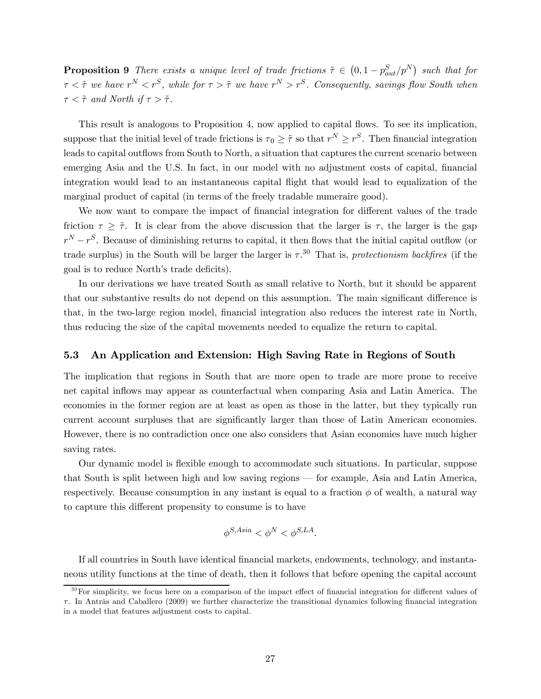**Proposition 9** There exists a unique level of trade frictions  $\tilde{\tau} \in (0, 1 - p_{aut}^S/p^N)$  such that for  $\tau < \tilde{\tau}$  we have  $r^N < r^S$ , while for  $\tau > \tilde{\tau}$  we have  $r^N > r^S$ . Consequently, savings flow South when  $\tau < \tilde{\tau}$  and North if  $\tau > \tilde{\tau}$ .

This result is analogous to Proposition 4, now applied to capital flows. To see its implication, suppose that the initial level of trade frictions is  $\tau_0 \geq \tilde{\tau}$  so that  $r^N \geq r^S$ . Then financial integration leads to capital outflows from South to North, a situation that captures the current scenario between emerging Asia and the U.S. In fact, in our model with no adjustment costs of capital, financial integration would lead to an instantaneous capital flight that would lead to equalization of the marginal product of capital (in terms of the freely tradable numeraire good).

We now want to compare the impact of financial integration for different values of the trade friction  $\tau \geq \tilde{\tau}$ . It is clear from the above discussion that the larger is  $\tau$ , the larger is the gap  $r^N - r^S$ . Because of diminishing returns to capital, it then flows that the initial capital outflow (or trade surplus) in the South will be larger the larger is  $\tau$ .<sup>30</sup> That is, protectionism backfires (if the goal is to reduce North's trade deficits).

In our derivations we have treated South as small relative to North, but it should be apparent that our substantive results do not depend on this assumption. The main significant difference is that, in the two-large region model, financial integration also reduces the interest rate in North, thus reducing the size of the capital movements needed to equalize the return to capital.

## 5.3 An Application and Extension: High Saving Rate in Regions of South

The implication that regions in South that are more open to trade are more prone to receive net capital inflows may appear as counterfactual when comparing Asia and Latin America. The economies in the former region are at least as open as those in the latter, but they typically run current account surpluses that are significantly larger than those of Latin American economies. However, there is no contradiction once one also considers that Asian economies have much higher saving rates.

Our dynamic model is flexible enough to accommodate such situations. In particular, suppose that South is split between high and low saving regions – for example, Asia and Latin America, respectively. Because consumption in any instant is equal to a fraction  $\phi$  of wealth, a natural way to capture this different propensity to consume is to have

$$
\phi^{S,Asia} < \phi^N < \phi^{S, LA}.
$$

If all countries in South have identical financial markets, endowments, technology, and instantaneous utility functions at the time of death, then it follows that before opening the capital account

 $30$  For simplicity, we focus here on a comparison of the impact effect of financial integration for different values of  $\tau$ . In Antràs and Caballero (2009) we further characterize the transitional dynamics following financial integration in a model that features adjustment costs to capital.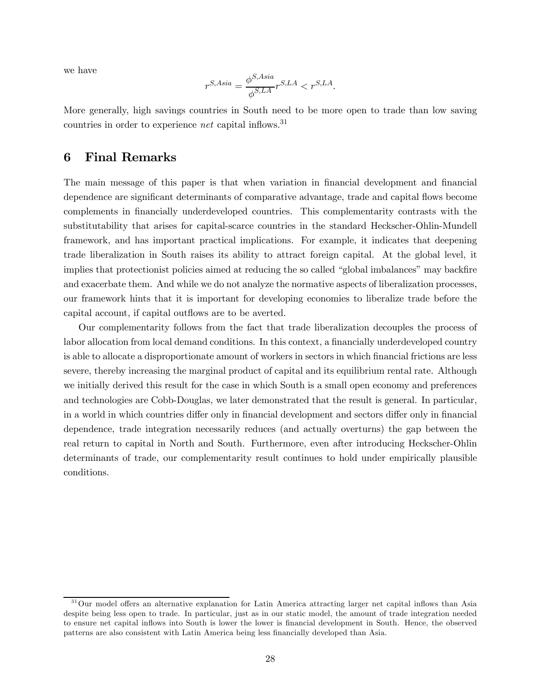we have

$$
r^{S,Asia} = \frac{\phi^{S,Asia}}{\phi^{S, LA}} r^{S, LA} < r^{S, LA}.
$$

More generally, high savings countries in South need to be more open to trade than low saving countries in order to experience *net* capital inflows.<sup>31</sup>

## 6 Final Remarks

The main message of this paper is that when variation in financial development and financial dependence are significant determinants of comparative advantage, trade and capital flows become complements in financially underdeveloped countries. This complementarity contrasts with the substitutability that arises for capital-scarce countries in the standard Heckscher-Ohlin-Mundell framework, and has important practical implications. For example, it indicates that deepening trade liberalization in South raises its ability to attract foreign capital. At the global level, it implies that protectionist policies aimed at reducing the so called "global imbalances" may backfire and exacerbate them. And while we do not analyze the normative aspects of liberalization processes, our framework hints that it is important for developing economies to liberalize trade before the capital account, if capital outflows are to be averted.

Our complementarity follows from the fact that trade liberalization decouples the process of labor allocation from local demand conditions. In this context, a financially underdeveloped country is able to allocate a disproportionate amount of workers in sectors in which financial frictions are less severe, thereby increasing the marginal product of capital and its equilibrium rental rate. Although we initially derived this result for the case in which South is a small open economy and preferences and technologies are Cobb-Douglas, we later demonstrated that the result is general. In particular, in a world in which countries differ only in financial development and sectors differ only in financial dependence, trade integration necessarily reduces (and actually overturns) the gap between the real return to capital in North and South. Furthermore, even after introducing Heckscher-Ohlin determinants of trade, our complementarity result continues to hold under empirically plausible conditions.

<sup>&</sup>lt;sup>31</sup>Our model offers an alternative explanation for Latin America attracting larger net capital inflows than Asia despite being less open to trade. In particular, just as in our static model, the amount of trade integration needed to ensure net capital inflows into South is lower the lower is financial development in South. Hence, the observed patterns are also consistent with Latin America being less financially developed than Asia.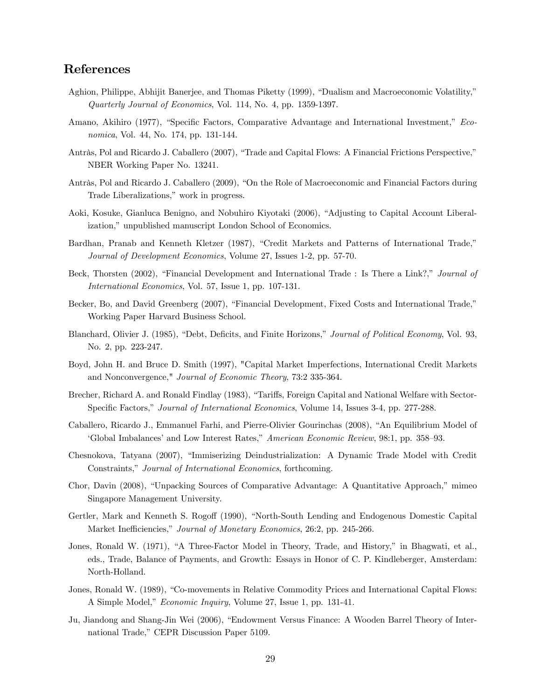# References

- Aghion, Philippe, Abhijit Banerjee, and Thomas Piketty (1999), "Dualism and Macroeconomic Volatility," Quarterly Journal of Economics, Vol. 114, No. 4, pp. 1359-1397.
- Amano, Akihiro (1977), "Specific Factors, Comparative Advantage and International Investment," Economica, Vol. 44, No. 174, pp. 131-144.
- Antràs, Pol and Ricardo J. Caballero (2007), "Trade and Capital Flows: A Financial Frictions Perspective," NBER Working Paper No. 13241.
- Antràs, Pol and Ricardo J. Caballero (2009), "On the Role of Macroeconomic and Financial Factors during Trade Liberalizations," work in progress.
- Aoki, Kosuke, Gianluca Benigno, and Nobuhiro Kiyotaki (2006), "Adjusting to Capital Account Liberalization," unpublished manuscript London School of Economics.
- Bardhan, Pranab and Kenneth Kletzer (1987), "Credit Markets and Patterns of International Trade," Journal of Development Economics, Volume 27, Issues 1-2, pp. 57-70.
- Beck, Thorsten (2002), "Financial Development and International Trade : Is There a Link?," Journal of International Economics, Vol. 57, Issue 1, pp. 107-131.
- Becker, Bo, and David Greenberg (2007), "Financial Development, Fixed Costs and International Trade," Working Paper Harvard Business School.
- Blanchard, Olivier J. (1985), "Debt, Deficits, and Finite Horizons," Journal of Political Economy, Vol. 93, No. 2, pp. 223-247.
- Boyd, John H. and Bruce D. Smith (1997), "Capital Market Imperfections, International Credit Markets and Nonconvergence," Journal of Economic Theory, 73:2 335-364.
- Brecher, Richard A. and Ronald Findlay (1983), "Tariffs, Foreign Capital and National Welfare with Sector-Specific Factors," Journal of International Economics, Volume 14, Issues 3-4, pp. 277-288.
- Caballero, Ricardo J., Emmanuel Farhi, and Pierre-Olivier Gourinchas (2008), "An Equilibrium Model of 'Global Imbalances' and Low Interest Rates," American Economic Review, 98:1, pp. 358—93.
- Chesnokova, Tatyana (2007), "Immiserizing Deindustrialization: A Dynamic Trade Model with Credit Constraints," Journal of International Economics, forthcoming.
- Chor, Davin (2008), "Unpacking Sources of Comparative Advantage: A Quantitative Approach," mimeo Singapore Management University.
- Gertler, Mark and Kenneth S. Rogoff (1990), "North-South Lending and Endogenous Domestic Capital Market Inefficiencies," Journal of Monetary Economics, 26:2, pp. 245-266.
- Jones, Ronald W. (1971), "A Three-Factor Model in Theory, Trade, and History," in Bhagwati, et al., eds., Trade, Balance of Payments, and Growth: Essays in Honor of C. P. Kindleberger, Amsterdam: North-Holland.
- Jones, Ronald W. (1989), "Co-movements in Relative Commodity Prices and International Capital Flows: A Simple Model," Economic Inquiry, Volume 27, Issue 1, pp. 131-41.
- Ju, Jiandong and Shang-Jin Wei (2006), "Endowment Versus Finance: A Wooden Barrel Theory of International Trade," CEPR Discussion Paper 5109.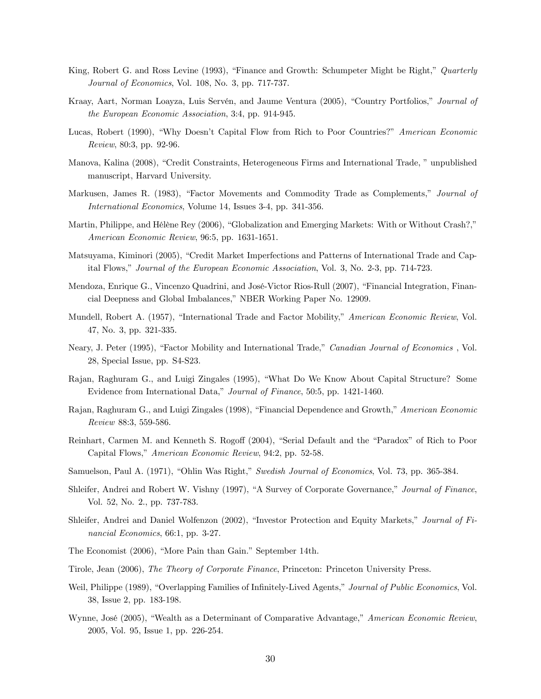- King, Robert G. and Ross Levine (1993), "Finance and Growth: Schumpeter Might be Right," Quarterly Journal of Economics, Vol. 108, No. 3, pp. 717-737.
- Kraay, Aart, Norman Loayza, Luis Servén, and Jaume Ventura (2005), "Country Portfolios," Journal of the European Economic Association, 3:4, pp. 914-945.
- Lucas, Robert (1990), "Why Doesn't Capital Flow from Rich to Poor Countries?" American Economic Review, 80:3, pp. 92-96.
- Manova, Kalina (2008), "Credit Constraints, Heterogeneous Firms and International Trade, " unpublished manuscript, Harvard University.
- Markusen, James R. (1983), "Factor Movements and Commodity Trade as Complements," Journal of International Economics, Volume 14, Issues 3-4, pp. 341-356.
- Martin, Philippe, and Hélène Rey (2006), "Globalization and Emerging Markets: With or Without Crash?," American Economic Review, 96:5, pp. 1631-1651.
- Matsuyama, Kiminori (2005), "Credit Market Imperfections and Patterns of International Trade and Capital Flows," Journal of the European Economic Association, Vol. 3, No. 2-3, pp. 714-723.
- Mendoza, Enrique G., Vincenzo Quadrini, and José-Victor Rios-Rull (2007), "Financial Integration, Financial Deepness and Global Imbalances," NBER Working Paper No. 12909.
- Mundell, Robert A. (1957), "International Trade and Factor Mobility," American Economic Review, Vol. 47, No. 3, pp. 321-335.
- Neary, J. Peter (1995), "Factor Mobility and International Trade," Canadian Journal of Economics, Vol. 28, Special Issue, pp. S4-S23.
- Rajan, Raghuram G., and Luigi Zingales (1995), "What Do We Know About Capital Structure? Some Evidence from International Data," Journal of Finance, 50:5, pp. 1421-1460.
- Rajan, Raghuram G., and Luigi Zingales (1998), "Financial Dependence and Growth," American Economic Review 88:3, 559-586.
- Reinhart, Carmen M. and Kenneth S. Rogoff (2004), "Serial Default and the "Paradox" of Rich to Poor Capital Flows," American Economic Review, 94:2, pp. 52-58.
- Samuelson, Paul A. (1971), "Ohlin Was Right," Swedish Journal of Economics, Vol. 73, pp. 365-384.
- Shleifer, Andrei and Robert W. Vishny (1997), "A Survey of Corporate Governance," Journal of Finance, Vol. 52, No. 2., pp. 737-783.
- Shleifer, Andrei and Daniel Wolfenzon (2002), "Investor Protection and Equity Markets," Journal of Financial Economics, 66:1, pp. 3-27.
- The Economist (2006), "More Pain than Gain." September 14th.
- Tirole, Jean (2006), The Theory of Corporate Finance, Princeton: Princeton University Press.
- Weil, Philippe (1989), "Overlapping Families of Infinitely-Lived Agents," Journal of Public Economics, Vol. 38, Issue 2, pp. 183-198.
- Wynne, José (2005), "Wealth as a Determinant of Comparative Advantage," American Economic Review, 2005, Vol. 95, Issue 1, pp. 226-254.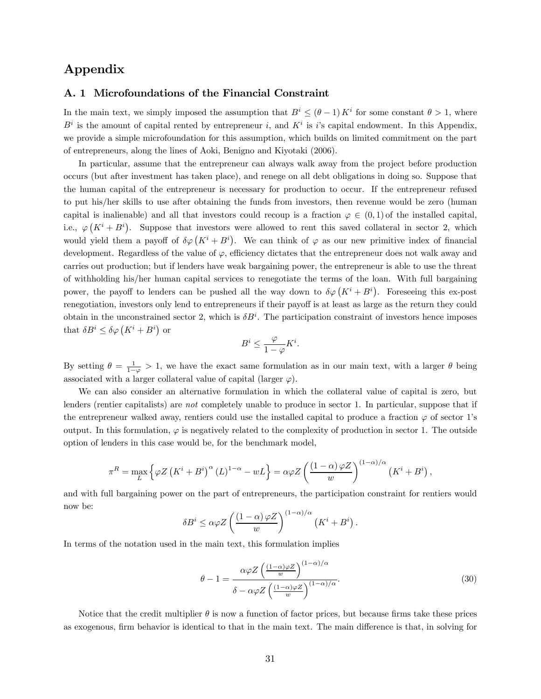# Appendix

#### A. 1 Microfoundations of the Financial Constraint

In the main text, we simply imposed the assumption that  $B^i \leq (\theta - 1) K^i$  for some constant  $\theta > 1$ , where  $B^i$  is the amount of capital rented by entrepreneur i, and  $K^i$  is i's capital endowment. In this Appendix, we provide a simple microfoundation for this assumption, which builds on limited commitment on the part of entrepreneurs, along the lines of Aoki, Benigno and Kiyotaki (2006).

In particular, assume that the entrepreneur can always walk away from the project before production occurs (but after investment has taken place), and renege on all debt obligations in doing so. Suppose that the human capital of the entrepreneur is necessary for production to occur. If the entrepreneur refused to put his/her skills to use after obtaining the funds from investors, then revenue would be zero (human capital is inalienable) and all that investors could recoup is a fraction  $\varphi \in (0,1)$  of the installed capital, i.e.,  $\varphi(K^i + B^i)$ . Suppose that investors were allowed to rent this saved collateral in sector 2, which would yield them a payoff of  $\delta\varphi\left(K^{i}+B^{i}\right)$ . We can think of  $\varphi$  as our new primitive index of financial development. Regardless of the value of  $\varphi$ , efficiency dictates that the entrepreneur does not walk away and carries out production; but if lenders have weak bargaining power, the entrepreneur is able to use the threat of withholding his/her human capital services to renegotiate the terms of the loan. With full bargaining power, the payoff to lenders can be pushed all the way down to  $\delta\varphi(K^i + B^i)$ . Foreseeing this ex-post renegotiation, investors only lend to entrepreneurs if their payoff is at least as large as the return they could obtain in the unconstrained sector 2, which is  $\delta B^i$ . The participation constraint of investors hence imposes that  $\delta B^i \leq \delta \varphi \left( K^i + B^i \right)$  or

$$
B^i \leq \frac{\varphi}{1-\varphi}K^i.
$$

By setting  $\theta = \frac{1}{1-\varphi} > 1$ , we have the exact same formulation as in our main text, with a larger  $\theta$  being associated with a larger collateral value of capital (larger  $\varphi$ ).

We can also consider an alternative formulation in which the collateral value of capital is zero, but lenders (rentier capitalists) are not completely unable to produce in sector 1. In particular, suppose that if the entrepreneur walked away, rentiers could use the installed capital to produce a fraction  $\varphi$  of sector 1's output. In this formulation,  $\varphi$  is negatively related to the complexity of production in sector 1. The outside option of lenders in this case would be, for the benchmark model,

$$
\pi^{R} = \max_{L} \left\{ \varphi Z \left( K^{i} + B^{i} \right)^{\alpha} (L)^{1-\alpha} - wL \right\} = \alpha \varphi Z \left( \frac{(1-\alpha) \varphi Z}{w} \right)^{(1-\alpha)/\alpha} \left( K^{i} + B^{i} \right),
$$

and with full bargaining power on the part of entrepreneurs, the participation constraint for rentiers would now be:

$$
\delta B^i \leq \alpha \varphi Z \left( \frac{(1-\alpha)\varphi Z}{w} \right)^{(1-\alpha)/\alpha} \left( K^i + B^i \right).
$$

In terms of the notation used in the main text, this formulation implies

$$
\theta - 1 = \frac{\alpha \varphi Z \left(\frac{(1-\alpha)\varphi Z}{w}\right)^{(1-\alpha)/\alpha}}{\delta - \alpha \varphi Z \left(\frac{(1-\alpha)\varphi Z}{w}\right)^{(1-\alpha)/\alpha}}.
$$
\n(30)

Notice that the credit multiplier  $\theta$  is now a function of factor prices, but because firms take these prices as exogenous, firm behavior is identical to that in the main text. The main difference is that, in solving for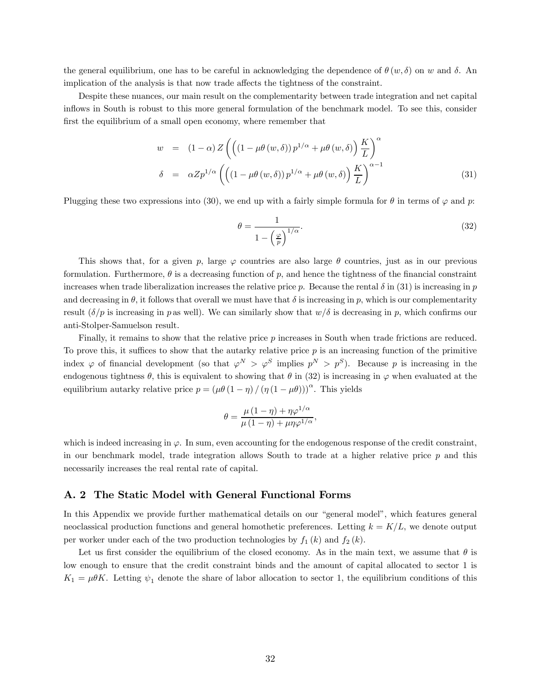the general equilibrium, one has to be careful in acknowledging the dependence of  $\theta(w,\delta)$  on w and  $\delta$ . An implication of the analysis is that now trade affects the tightness of the constraint.

Despite these nuances, our main result on the complementarity between trade integration and net capital inflows in South is robust to this more general formulation of the benchmark model. To see this, consider first the equilibrium of a small open economy, where remember that

$$
w = (1 - \alpha) Z \left( \left( (1 - \mu \theta(w, \delta)) p^{1/\alpha} + \mu \theta(w, \delta) \right) \frac{K}{L} \right)^{\alpha}
$$
  

$$
\delta = \alpha Z p^{1/\alpha} \left( \left( (1 - \mu \theta(w, \delta)) p^{1/\alpha} + \mu \theta(w, \delta) \right) \frac{K}{L} \right)^{\alpha - 1}
$$
(31)

Plugging these two expressions into (30), we end up with a fairly simple formula for  $\theta$  in terms of  $\varphi$  and  $p$ :

$$
\theta = \frac{1}{1 - \left(\frac{\varphi}{p}\right)^{1/\alpha}}.\tag{32}
$$

This shows that, for a given p, large  $\varphi$  countries are also large  $\theta$  countries, just as in our previous formulation. Furthermore,  $\theta$  is a decreasing function of p, and hence the tightness of the financial constraint increases when trade liberalization increases the relative price p. Because the rental  $\delta$  in (31) is increasing in p and decreasing in  $\theta$ , it follows that overall we must have that  $\delta$  is increasing in p, which is our complementarity result  $(\delta/p)$  is increasing in p as well). We can similarly show that  $w/\delta$  is decreasing in p, which confirms our anti-Stolper-Samuelson result.

Finally, it remains to show that the relative price p increases in South when trade frictions are reduced. To prove this, it suffices to show that the autarky relative price  $p$  is an increasing function of the primitive index  $\varphi$  of financial development (so that  $\varphi^N > \varphi^S$  implies  $p^N > p^S$ ). Because p is increasing in the endogenous tightness  $\theta$ , this is equivalent to showing that  $\theta$  in (32) is increasing in  $\varphi$  when evaluated at the equilibrium autarky relative price  $p = (\mu \theta (1 - \eta) / (\eta (1 - \mu \theta)))^{\alpha}$ . This yields

$$
\theta = \frac{\mu(1-\eta) + \eta \varphi^{1/\alpha}}{\mu(1-\eta) + \mu \eta \varphi^{1/\alpha}},
$$

which is indeed increasing in  $\varphi$ . In sum, even accounting for the endogenous response of the credit constraint, in our benchmark model, trade integration allows South to trade at a higher relative price  $p$  and this necessarily increases the real rental rate of capital.

#### A. 2 The Static Model with General Functional Forms

In this Appendix we provide further mathematical details on our "general model", which features general neoclassical production functions and general homothetic preferences. Letting  $k = K/L$ , we denote output per worker under each of the two production technologies by  $f_1(k)$  and  $f_2(k)$ .

Let us first consider the equilibrium of the closed economy. As in the main text, we assume that  $\theta$  is low enough to ensure that the credit constraint binds and the amount of capital allocated to sector 1 is  $K_1 = \mu\theta K$ . Letting  $\psi_1$  denote the share of labor allocation to sector 1, the equilibrium conditions of this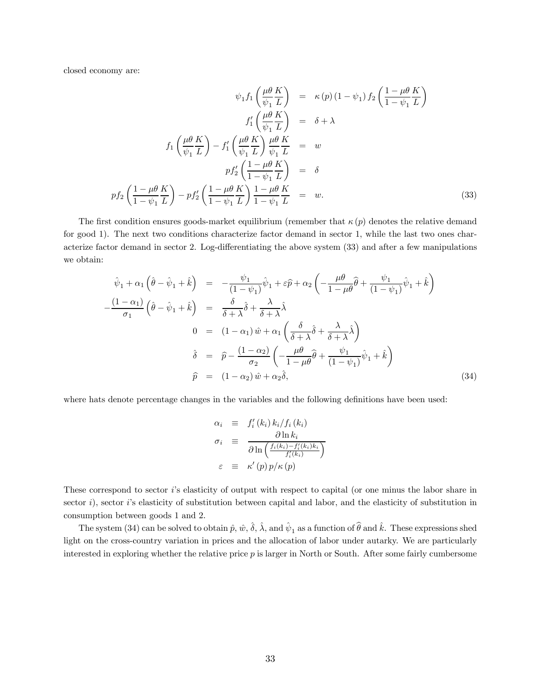closed economy are:

$$
\psi_1 f_1 \left( \frac{\mu \theta}{\psi_1} \frac{K}{L} \right) = \kappa (p) (1 - \psi_1) f_2 \left( \frac{1 - \mu \theta}{1 - \psi_1} \frac{K}{L} \right)
$$
  

$$
f'_1 \left( \frac{\mu \theta}{\psi_1} \frac{K}{L} \right) = \delta + \lambda
$$
  

$$
f_1 \left( \frac{\mu \theta}{\psi_1} \frac{K}{L} \right) - f'_1 \left( \frac{\mu \theta}{\psi_1} \frac{K}{L} \right) \frac{\mu \theta}{\psi_1} \frac{K}{L} = w
$$
  

$$
p f'_2 \left( \frac{1 - \mu \theta}{1 - \psi_1} \frac{K}{L} \right) = \delta
$$
  

$$
p f_2 \left( \frac{1 - \mu \theta}{1 - \psi_1} \frac{K}{L} \right) - p f'_2 \left( \frac{1 - \mu \theta}{1 - \psi_1} \frac{K}{L} \right) \frac{1 - \mu \theta}{1 - \psi_1} \frac{K}{L} = w.
$$
 (33)

The first condition ensures goods-market equilibrium (remember that  $\kappa(p)$  denotes the relative demand for good 1). The next two conditions characterize factor demand in sector 1, while the last two ones characterize factor demand in sector 2. Log-differentiating the above system (33) and after a few manipulations we obtain:

$$
\hat{\psi}_1 + \alpha_1 \left( \hat{\theta} - \hat{\psi}_1 + \hat{k} \right) = -\frac{\psi_1}{(1 - \psi_1)} \hat{\psi}_1 + \varepsilon \hat{p} + \alpha_2 \left( -\frac{\mu \theta}{1 - \mu \theta} \hat{\theta} + \frac{\psi_1}{(1 - \psi_1)} \hat{\psi}_1 + \hat{k} \right)
$$

$$
-\frac{(1 - \alpha_1)}{\sigma_1} \left( \hat{\theta} - \hat{\psi}_1 + \hat{k} \right) = \frac{\delta}{\delta + \lambda} \hat{\delta} + \frac{\lambda}{\delta + \lambda} \hat{\lambda}
$$

$$
0 = (1 - \alpha_1) \hat{w} + \alpha_1 \left( \frac{\delta}{\delta + \lambda} \hat{\delta} + \frac{\lambda}{\delta + \lambda} \hat{\lambda} \right)
$$

$$
\hat{\delta} = \hat{p} - \frac{(1 - \alpha_2)}{\sigma_2} \left( -\frac{\mu \theta}{1 - \mu \theta} \hat{\theta} + \frac{\psi_1}{(1 - \psi_1)} \hat{\psi}_1 + \hat{k} \right)
$$

$$
\hat{p} = (1 - \alpha_2) \hat{w} + \alpha_2 \hat{\delta}, \tag{34}
$$

where hats denote percentage changes in the variables and the following definitions have been used:

$$
\alpha_{i} \equiv f'_{i}(k_{i}) k_{i}/f_{i}(k_{i})
$$
\n
$$
\sigma_{i} \equiv \frac{\partial \ln k_{i}}{\partial \ln \left(\frac{f_{i}(k_{i}) - f'_{i}(k_{i})k_{i}}{f'_{i}(k_{i})}\right)}
$$
\n
$$
\varepsilon \equiv \kappa'(p) p/\kappa(p)
$$

These correspond to sector i's elasticity of output with respect to capital (or one minus the labor share in sector i), sector i's elasticity of substitution between capital and labor, and the elasticity of substitution in consumption between goods 1 and 2.

The system (34) can be solved to obtain  $\hat{p}$ ,  $\hat{w}$ ,  $\hat{\delta}$ ,  $\hat{\lambda}$ , and  $\hat{\psi}_1$  as a function of  $\hat{\theta}$  and  $\hat{k}$ . These expressions shed light on the cross-country variation in prices and the allocation of labor under autarky. We are particularly interested in exploring whether the relative price  $p$  is larger in North or South. After some fairly cumbersome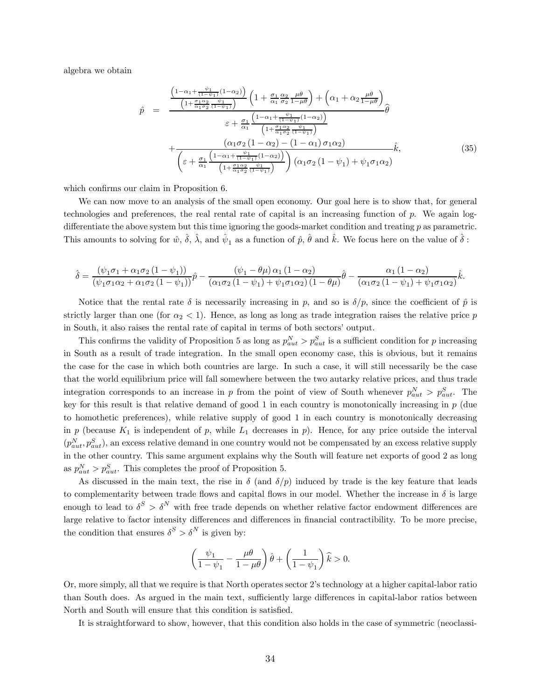algebra we obtain

$$
\hat{p} = \frac{\frac{\left(1-\alpha_{1}+\frac{\psi_{1}}{(1-\alpha_{2})}\right)}{\left(1+\frac{\sigma_{1}\alpha_{2}}{\alpha_{1}\sigma_{2}}\frac{\psi_{1}}{(1-\psi_{1})}\right)}\left(1+\frac{\sigma_{1}}{\alpha_{1}}\frac{\alpha_{2}}{\sigma_{2}}\frac{\mu\theta}{1-\mu\theta}\right) + \left(\alpha_{1}+\alpha_{2}\frac{\mu\theta}{1-\mu\theta}\right)}{\varepsilon + \frac{\sigma_{1}}{\alpha_{1}}\frac{\left(1-\alpha_{1}+\frac{\psi_{1}}{(1-\psi_{1})}\left(1-\alpha_{2}\right)\right)}{\left(1+\frac{\sigma_{1}\alpha_{2}}{\alpha_{1}\sigma_{2}}\frac{\psi_{1}}{(1-\psi_{1})}\right)}}\hat{\theta}
$$
\n
$$
+\frac{\left(\alpha_{1}\sigma_{2}\left(1-\alpha_{2}\right)-\left(1-\alpha_{1}\right)\sigma_{1}\alpha_{2}\right)}{\left(\varepsilon + \frac{\sigma_{1}}{\alpha_{1}}\frac{\left(1-\alpha_{1}+\frac{\psi_{1}}{\left(1-\psi_{1}\right)}\left(1-\alpha_{2}\right)\right)}{\left(1+\frac{\sigma_{1}\alpha_{2}}{\alpha_{1}\sigma_{2}}\frac{\psi_{1}}{\left(1-\psi_{1}\right)}\right)}\right)\left(\alpha_{1}\sigma_{2}\left(1-\psi_{1}\right)+\psi_{1}\sigma_{1}\alpha_{2}\right)}\hat{k},\tag{35}
$$

which confirms our claim in Proposition 6.

We can now move to an analysis of the small open economy. Our goal here is to show that, for general technologies and preferences, the real rental rate of capital is an increasing function of p. We again logdifferentiate the above system but this time ignoring the goods-market condition and treating  $p$  as parametric. This amounts to solving for  $\hat{w}$ ,  $\hat{\delta}$ ,  $\hat{\lambda}$ , and  $\hat{\psi}_1$  as a function of  $\hat{p}$ ,  $\hat{\theta}$  and  $\hat{k}$ . We focus here on the value of  $\hat{\delta}$ :

$$
\hat{\delta} = \frac{(\psi_1 \sigma_1 + \alpha_1 \sigma_2 (1 - \psi_1))}{(\psi_1 \sigma_1 \alpha_2 + \alpha_1 \sigma_2 (1 - \psi_1))} \hat{p} - \frac{(\psi_1 - \theta \mu) \alpha_1 (1 - \alpha_2)}{(\alpha_1 \sigma_2 (1 - \psi_1) + \psi_1 \sigma_1 \alpha_2) (1 - \theta \mu)} \hat{\theta} - \frac{\alpha_1 (1 - \alpha_2)}{(\alpha_1 \sigma_2 (1 - \psi_1) + \psi_1 \sigma_1 \alpha_2)} \hat{k}.
$$

Notice that the rental rate  $\delta$  is necessarily increasing in p, and so is  $\delta/p$ , since the coefficient of  $\hat{p}$  is strictly larger than one (for  $\alpha_2 < 1$ ). Hence, as long as long as trade integration raises the relative price p in South, it also raises the rental rate of capital in terms of both sectors' output.

This confirms the validity of Proposition 5 as long as  $p_{aut}^N > p_{aut}^S$  is a sufficient condition for p increasing in South as a result of trade integration. In the small open economy case, this is obvious, but it remains the case for the case in which both countries are large. In such a case, it will still necessarily be the case that the world equilibrium price will fall somewhere between the two autarky relative prices, and thus trade integration corresponds to an increase in p from the point of view of South whenever  $p_{aut}^N > p_{aut}^S$ . The key for this result is that relative demand of good 1 in each country is monotonically increasing in  $p$  (due to homothetic preferences), while relative supply of good 1 in each country is monotonically decreasing in p (because  $K_1$  is independent of p, while  $L_1$  decreases in p). Hence, for any price outside the interval  $(p_{aut}^N, p_{aut}^S)$ , an excess relative demand in one country would not be compensated by an excess relative supply in the other country. This same argument explains why the South will feature net exports of good 2 as long as  $p_{aut}^N > p_{aut}^S$ . This completes the proof of Proposition 5.

As discussed in the main text, the rise in  $\delta$  (and  $\delta/p$ ) induced by trade is the key feature that leads to complementarity between trade flows and capital flows in our model. Whether the increase in  $\delta$  is large enough to lead to  $\delta^S > \delta^N$  with free trade depends on whether relative factor endowment differences are large relative to factor intensity differences and differences in financial contractibility. To be more precise, the condition that ensures  $\delta^S > \delta^N$  is given by:

$$
\left(\frac{\psi_1}{1-\psi_1}-\frac{\mu\theta}{1-\mu\theta}\right)\hat{\theta}+\left(\frac{1}{1-\psi_1}\right)\hat{k}>0.
$$

Or, more simply, all that we require is that North operates sector 2's technology at a higher capital-labor ratio than South does. As argued in the main text, sufficiently large differences in capital-labor ratios between North and South will ensure that this condition is satisfied.

It is straightforward to show, however, that this condition also holds in the case of symmetric (neoclassi-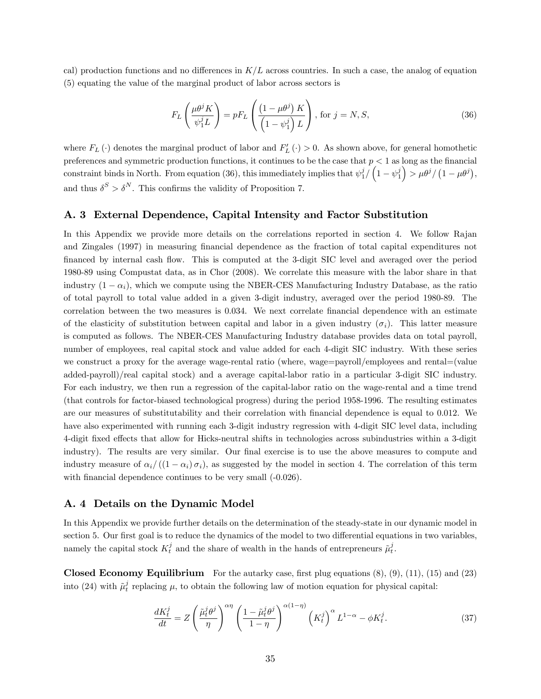cal) production functions and no differences in  $K/L$  across countries. In such a case, the analog of equation (5) equating the value of the marginal product of labor across sectors is

$$
F_L\left(\frac{\mu\theta^j K}{\psi_1^j L}\right) = pF_L\left(\frac{\left(1 - \mu\theta^j\right) K}{\left(1 - \psi_1^j\right) L}\right), \text{ for } j = N, S,
$$
\n(36)

where  $F_L(\cdot)$  denotes the marginal product of labor and  $F'_L(\cdot) > 0$ . As shown above, for general homothetic preferences and symmetric production functions, it continues to be the case that  $p < 1$  as long as the financial constraint binds in North. From equation (36), this immediately implies that  $\psi_1^j / (1 - \psi_1^j) > \mu \theta^j / (1 - \mu \theta^j)$ , and thus  $\delta^{S} > \delta^{N}$ . This confirms the validity of Proposition 7.

#### A. 3 External Dependence, Capital Intensity and Factor Substitution

In this Appendix we provide more details on the correlations reported in section 4. We follow Rajan and Zingales (1997) in measuring financial dependence as the fraction of total capital expenditures not financed by internal cash flow. This is computed at the 3-digit SIC level and averaged over the period 1980-89 using Compustat data, as in Chor (2008). We correlate this measure with the labor share in that industry  $(1 - \alpha_i)$ , which we compute using the NBER-CES Manufacturing Industry Database, as the ratio of total payroll to total value added in a given 3-digit industry, averaged over the period 1980-89. The correlation between the two measures is 0.034. We next correlate financial dependence with an estimate of the elasticity of substitution between capital and labor in a given industry  $(\sigma_i)$ . This latter measure is computed as follows. The NBER-CES Manufacturing Industry database provides data on total payroll, number of employees, real capital stock and value added for each 4-digit SIC industry. With these series we construct a proxy for the average wage-rental ratio (where, wage=payroll/employees and rental=(value added-payroll)/real capital stock) and a average capital-labor ratio in a particular 3-digit SIC industry. For each industry, we then run a regression of the capital-labor ratio on the wage-rental and a time trend (that controls for factor-biased technological progress) during the period 1958-1996. The resulting estimates are our measures of substitutability and their correlation with financial dependence is equal to 0.012. We have also experimented with running each 3-digit industry regression with 4-digit SIC level data, including 4-digit fixed effects that allow for Hicks-neutral shifts in technologies across subindustries within a 3-digit industry). The results are very similar. Our final exercise is to use the above measures to compute and industry measure of  $\alpha_i/((1 - \alpha_i)\sigma_i)$ , as suggested by the model in section 4. The correlation of this term with financial dependence continues to be very small  $(-0.026)$ .

#### A. 4 Details on the Dynamic Model

In this Appendix we provide further details on the determination of the steady-state in our dynamic model in section 5. Our first goal is to reduce the dynamics of the model to two differential equations in two variables, namely the capital stock  $K_t^j$  and the share of wealth in the hands of entrepreneurs  $\tilde{\mu}_t^j$ .

**Closed Economy Equilibrium** For the autarky case, first plug equations  $(8)$ ,  $(9)$ ,  $(11)$ ,  $(15)$  and  $(23)$ into (24) with  $\tilde{\mu}_t^j$  replacing  $\mu$ , to obtain the following law of motion equation for physical capital:

$$
\frac{dK_t^j}{dt} = Z\left(\frac{\tilde{\mu}_t^j \theta^j}{\eta}\right)^{\alpha \eta} \left(\frac{1 - \tilde{\mu}_t^j \theta^j}{1 - \eta}\right)^{\alpha(1 - \eta)} \left(K_t^j\right)^{\alpha} L^{1 - \alpha} - \phi K_t^j. \tag{37}
$$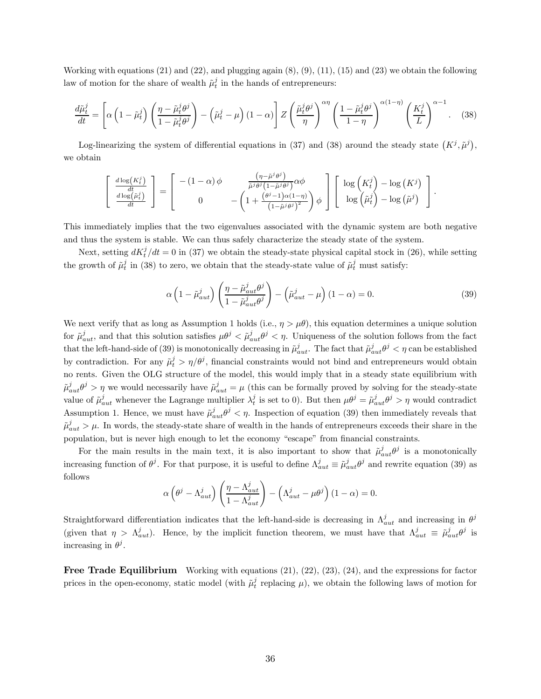Working with equations (21) and (22), and plugging again (8), (9), (11), (15) and (23) we obtain the following law of motion for the share of wealth  $\tilde{\mu}_t^j$  in the hands of entrepreneurs:

$$
\frac{d\tilde{\mu}_t^j}{dt} = \left[ \alpha \left( 1 - \tilde{\mu}_t^j \right) \left( \frac{\eta - \tilde{\mu}_t^j \theta^j}{1 - \tilde{\mu}_t^j \theta^j} \right) - \left( \tilde{\mu}_t^j - \mu \right) (1 - \alpha) \right] Z \left( \frac{\tilde{\mu}_t^j \theta^j}{\eta} \right)^{\alpha \eta} \left( \frac{1 - \tilde{\mu}_t^j \theta^j}{1 - \eta} \right)^{\alpha (1 - \eta)} \left( \frac{K_t^j}{L} \right)^{\alpha - 1} . \tag{38}
$$

Log-linearizing the system of differential equations in (37) and (38) around the steady state  $(K^j, \tilde{\mu}^j)$ , we obtain

$$
\begin{bmatrix}\n\frac{d \log(K_i^j)}{dt} \\
\frac{d \log(K_i^j)}{dt}\n\end{bmatrix} = \begin{bmatrix}\n-(1-\alpha)\phi & \frac{(\eta - \tilde{\mu}^j \theta^j)}{\tilde{\mu}^j \theta^j (1 - \tilde{\mu}^j \theta^j)} \alpha \phi \\
0 & -\left(1 + \frac{(\theta^j - 1)\alpha(1 - \eta)}{(1 - \tilde{\mu}^j \theta^j)^2}\right) \phi\n\end{bmatrix} \begin{bmatrix}\n\log(K_i^j) - \log(K^j) \\
\log(\tilde{\mu}_i^j) - \log(\tilde{\mu}^j)\n\end{bmatrix}.
$$

This immediately implies that the two eigenvalues associated with the dynamic system are both negative and thus the system is stable. We can thus safely characterize the steady state of the system.

Next, setting  $dK_t^j/dt = 0$  in (37) we obtain the steady-state physical capital stock in (26), while setting the growth of  $\tilde{\mu}_t^j$  in (38) to zero, we obtain that the steady-state value of  $\tilde{\mu}_t^j$  must satisfy:

$$
\alpha \left( 1 - \tilde{\mu}_{aut}^j \right) \left( \frac{\eta - \tilde{\mu}_{aut}^j \theta^j}{1 - \tilde{\mu}_{aut}^j \theta^j} \right) - \left( \tilde{\mu}_{aut}^j - \mu \right) (1 - \alpha) = 0. \tag{39}
$$

We next verify that as long as Assumption 1 holds (i.e.,  $\eta > \mu\theta$ ), this equation determines a unique solution for  $\tilde{\mu}_{aut}^j$ , and that this solution satisfies  $\mu \theta^j < \tilde{\mu}_{aut}^j \theta^j < \eta$ . Uniqueness of the solution follows from the fact that the left-hand-side of (39) is monotonically decreasing in  $\tilde{\mu}_{aut}^j$ . The fact that  $\tilde{\mu}_{aut}^j \theta^j < \eta$  can be established by contradiction. For any  $\tilde{\mu}_t^j > \eta/\theta^j$ , financial constraints would not bind and entrepreneurs would obtain no rents. Given the OLG structure of the model, this would imply that in a steady state equilibrium with  $\tilde{\mu}_{aut}^j\theta^j > \eta$  we would necessarily have  $\tilde{\mu}_{aut}^j = \mu$  (this can be formally proved by solving for the steady-state value of  $\tilde{\mu}_{aut}^j$  whenever the Lagrange multiplier  $\lambda_t^j$  is set to 0). But then  $\mu\theta^j = \tilde{\mu}_{aut}^j\theta^j > \eta$  would contradict Assumption 1. Hence, we must have  $\tilde{\mu}_{aut}^j \theta^j < \eta$ . Inspection of equation (39) then immediately reveals that  $\tilde{\mu}_{aut}^j > \mu$ . In words, the steady-state share of wealth in the hands of entrepreneurs exceeds their share in the population, but is never high enough to let the economy "escape" from financial constraints.

For the main results in the main text, it is also important to show that  $\tilde{\mu}_{aut}^j \theta^j$  is a monotonically increasing function of  $\theta^j$ . For that purpose, it is useful to define  $\Lambda^j_{aut} \equiv \tilde{\mu}^j_{aut} \theta^j$  and rewrite equation (39) as follows

$$
\alpha \left(\theta^j - \Lambda_{aut}^j\right) \left(\frac{\eta - \Lambda_{aut}^j}{1 - \Lambda_{aut}^j}\right) - \left(\Lambda_{aut}^j - \mu\theta^j\right)(1 - \alpha) = 0.
$$

Straightforward differentiation indicates that the left-hand-side is decreasing in  $\Lambda^j_{aut}$  and increasing in  $\theta^j$ (given that  $\eta > \Lambda_{aut}^j$ ). Hence, by the implicit function theorem, we must have that  $\Lambda_{aut}^j \equiv \tilde{\mu}_{aut}^j \theta^j$  is increasing in  $\theta^j$ .

**Free Trade Equilibrium** Working with equations  $(21)$ ,  $(22)$ ,  $(23)$ ,  $(24)$ , and the expressions for factor prices in the open-economy, static model (with  $\tilde{\mu}_t^j$  replacing  $\mu$ ), we obtain the following laws of motion for